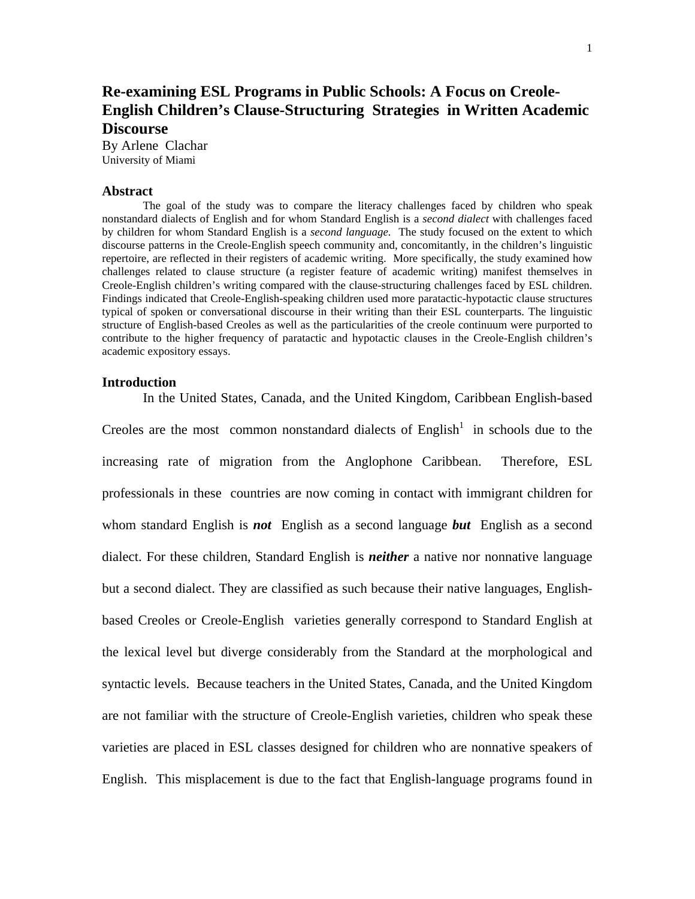# **Re-examining ESL Programs in Public Schools: A Focus on Creole-English Children's Clause-Structuring Strategies in Written Academic Discourse**

By Arlene Clachar University of Miami

#### **Abstract**

The goal of the study was to compare the literacy challenges faced by children who speak nonstandard dialects of English and for whom Standard English is a *second dialect* with challenges faced by children for whom Standard English is a *second language.* The study focused on the extent to which discourse patterns in the Creole-English speech community and, concomitantly, in the children's linguistic repertoire, are reflected in their registers of academic writing. More specifically, the study examined how challenges related to clause structure (a register feature of academic writing) manifest themselves in Creole-English children's writing compared with the clause-structuring challenges faced by ESL children. Findings indicated that Creole-English-speaking children used more paratactic-hypotactic clause structures typical of spoken or conversational discourse in their writing than their ESL counterparts. The linguistic structure of English-based Creoles as well as the particularities of the creole continuum were purported to contribute to the higher frequency of paratactic and hypotactic clauses in the Creole-English children's academic expository essays.

### **Introduction**

In the United States, Canada, and the United Kingdom, Caribbean English-based

Creoles are the most common nonstandard dialects of  $English<sup>1</sup>$  in schools due to the increasing rate of migration from the Anglophone Caribbean. Therefore, ESL professionals in these countries are now coming in contact with immigrant children for whom standard English is *not* English as a second language *but* English as a second dialect. For these children, Standard English is *neither* a native nor nonnative language but a second dialect. They are classified as such because their native languages, Englishbased Creoles or Creole-English varieties generally correspond to Standard English at the lexical level but diverge considerably from the Standard at the morphological and syntactic levels. Because teachers in the United States, Canada, and the United Kingdom are not familiar with the structure of Creole-English varieties, children who speak these varieties are placed in ESL classes designed for children who are nonnative speakers of English. This misplacement is due to the fact that English-language programs found in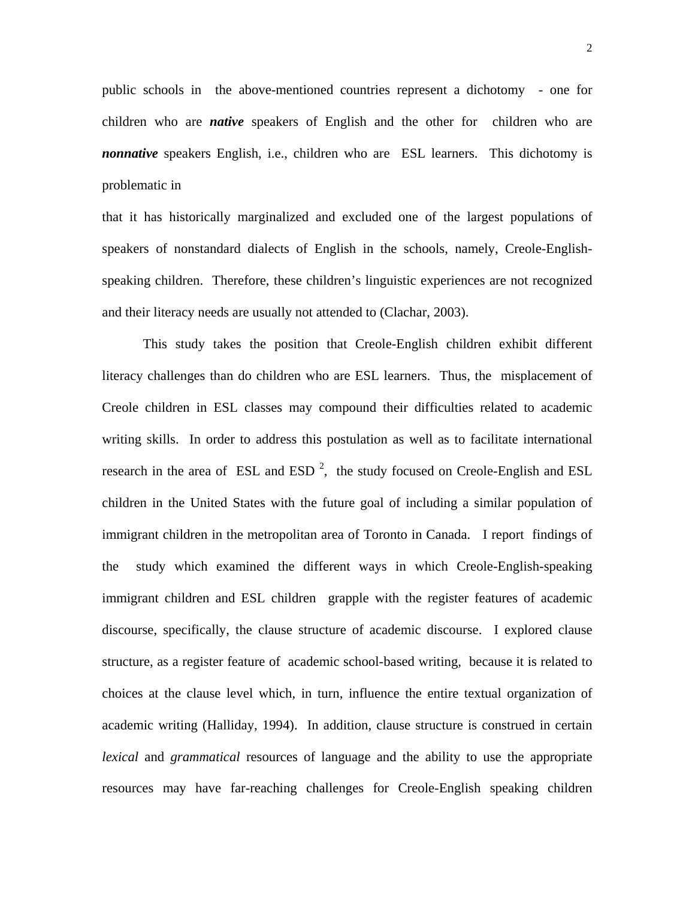public schools in the above-mentioned countries represent a dichotomy - one for children who are *native* speakers of English and the other for children who are *nonnative* speakers English, i.e., children who are ESL learners. This dichotomy is problematic in

that it has historically marginalized and excluded one of the largest populations of speakers of nonstandard dialects of English in the schools, namely, Creole-Englishspeaking children. Therefore, these children's linguistic experiences are not recognized and their literacy needs are usually not attended to (Clachar, 2003).

 This study takes the position that Creole-English children exhibit different literacy challenges than do children who are ESL learners. Thus, the misplacement of Creole children in ESL classes may compound their difficulties related to academic writing skills. In order to address this postulation as well as to facilitate international research in the area of ESL and ESD<sup>2</sup>, the study focused on Creole-English and ESL children in the United States with the future goal of including a similar population of immigrant children in the metropolitan area of Toronto in Canada. I report findings of the study which examined the different ways in which Creole-English-speaking immigrant children and ESL children grapple with the register features of academic discourse, specifically, the clause structure of academic discourse. I explored clause structure, as a register feature of academic school-based writing, because it is related to choices at the clause level which, in turn, influence the entire textual organization of academic writing (Halliday, 1994). In addition, clause structure is construed in certain *lexical* and *grammatical* resources of language and the ability to use the appropriate resources may have far-reaching challenges for Creole-English speaking children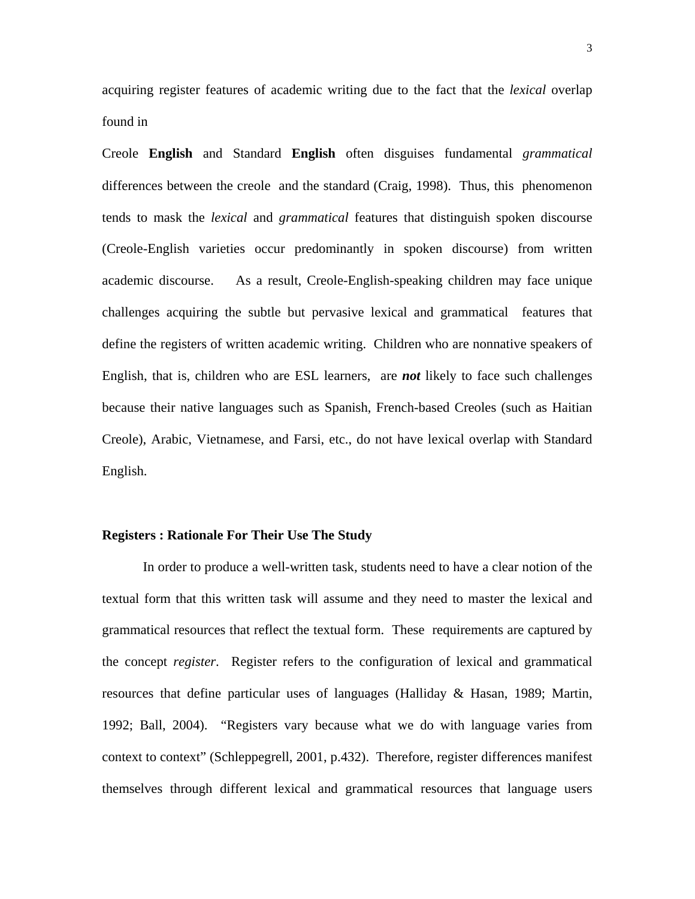acquiring register features of academic writing due to the fact that the *lexical* overlap found in

Creole **English** and Standard **English** often disguises fundamental *grammatical* differences between the creole and the standard (Craig, 1998). Thus, this phenomenon tends to mask the *lexical* and *grammatical* features that distinguish spoken discourse (Creole-English varieties occur predominantly in spoken discourse) from written academic discourse. As a result, Creole-English-speaking children may face unique challenges acquiring the subtle but pervasive lexical and grammatical features that define the registers of written academic writing.Children who are nonnative speakers of English, that is, children who are ESL learners, are *not* likely to face such challenges because their native languages such as Spanish, French-based Creoles (such as Haitian Creole), Arabic, Vietnamese, and Farsi, etc., do not have lexical overlap with Standard English.

### **Registers : Rationale For Their Use The Study**

In order to produce a well-written task, students need to have a clear notion of the textual form that this written task will assume and they need to master the lexical and grammatical resources that reflect the textual form. These requirements are captured by the concept *register*. Register refers to the configuration of lexical and grammatical resources that define particular uses of languages (Halliday & Hasan, 1989; Martin, 1992; Ball, 2004). "Registers vary because what we do with language varies from context to context" (Schleppegrell, 2001, p.432). Therefore, register differences manifest themselves through different lexical and grammatical resources that language users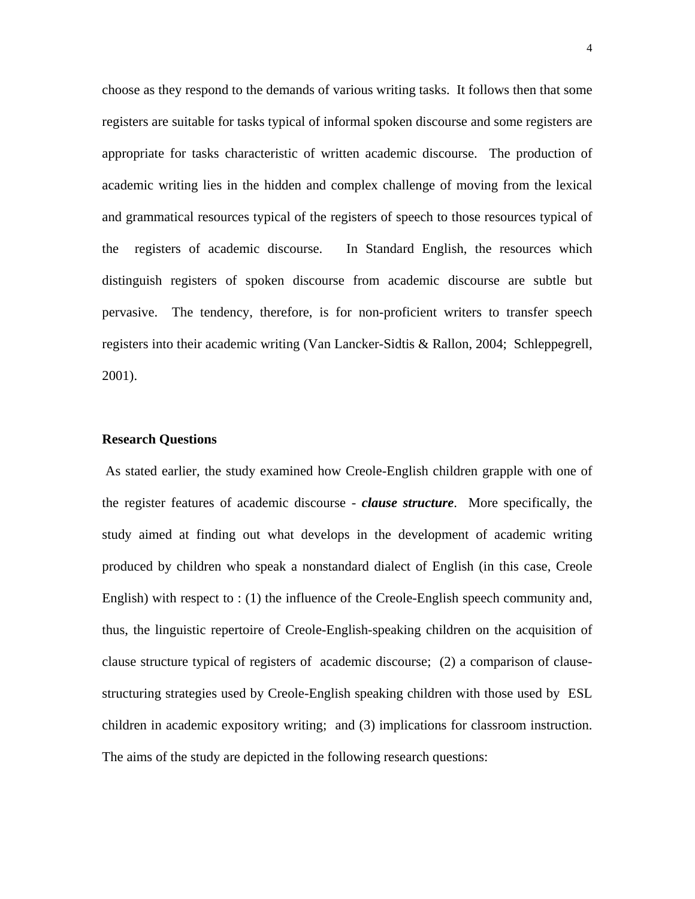choose as they respond to the demands of various writing tasks. It follows then that some registers are suitable for tasks typical of informal spoken discourse and some registers are appropriate for tasks characteristic of written academic discourse. The production of academic writing lies in the hidden and complex challenge of moving from the lexical and grammatical resources typical of the registers of speech to those resources typical of the registers of academic discourse. In Standard English, the resources which distinguish registers of spoken discourse from academic discourse are subtle but pervasive. The tendency, therefore, is for non-proficient writers to transfer speech registers into their academic writing (Van Lancker-Sidtis & Rallon, 2004; Schleppegrell, 2001).

#### **Research Questions**

 As stated earlier, the study examined how Creole-English children grapple with one of the register features of academic discourse - *clause structure*. More specifically, the study aimed at finding out what develops in the development of academic writing produced by children who speak a nonstandard dialect of English (in this case, Creole English) with respect to : (1) the influence of the Creole-English speech community and, thus, the linguistic repertoire of Creole-English-speaking children on the acquisition of clause structure typical of registers of academic discourse; (2) a comparison of clausestructuring strategies used by Creole-English speaking children with those used by ESL children in academic expository writing; and (3) implications for classroom instruction. The aims of the study are depicted in the following research questions: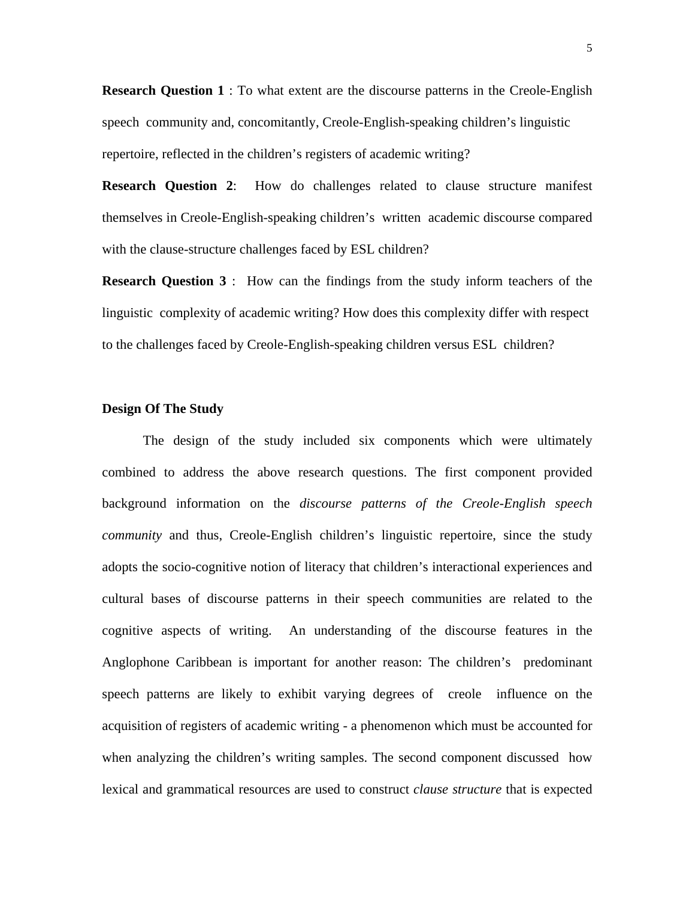**Research Question 1** : To what extent are the discourse patterns in the Creole-English speech community and, concomitantly, Creole-English-speaking children's linguistic repertoire, reflected in the children's registers of academic writing?

**Research Question 2**: How do challenges related to clause structure manifest themselves in Creole-English-speaking children's written academic discourse compared with the clause-structure challenges faced by ESL children?

**Research Question 3** : How can the findings from the study inform teachers of the linguistic complexity of academic writing? How does this complexity differ with respect to the challenges faced by Creole-English-speaking children versus ESL children?

# **Design Of The Study**

The design of the study included six components which were ultimately combined to address the above research questions. The first component provided background information on the *discourse patterns of the Creole-English speech community* and thus, Creole-English children's linguistic repertoire, since the study adopts the socio-cognitive notion of literacy that children's interactional experiences and cultural bases of discourse patterns in their speech communities are related to the cognitive aspects of writing. An understanding of the discourse features in the Anglophone Caribbean is important for another reason: The children's predominant speech patterns are likely to exhibit varying degrees of creole influence on the acquisition of registers of academic writing - a phenomenon which must be accounted for when analyzing the children's writing samples. The second component discussed how lexical and grammatical resources are used to construct *clause structure* that is expected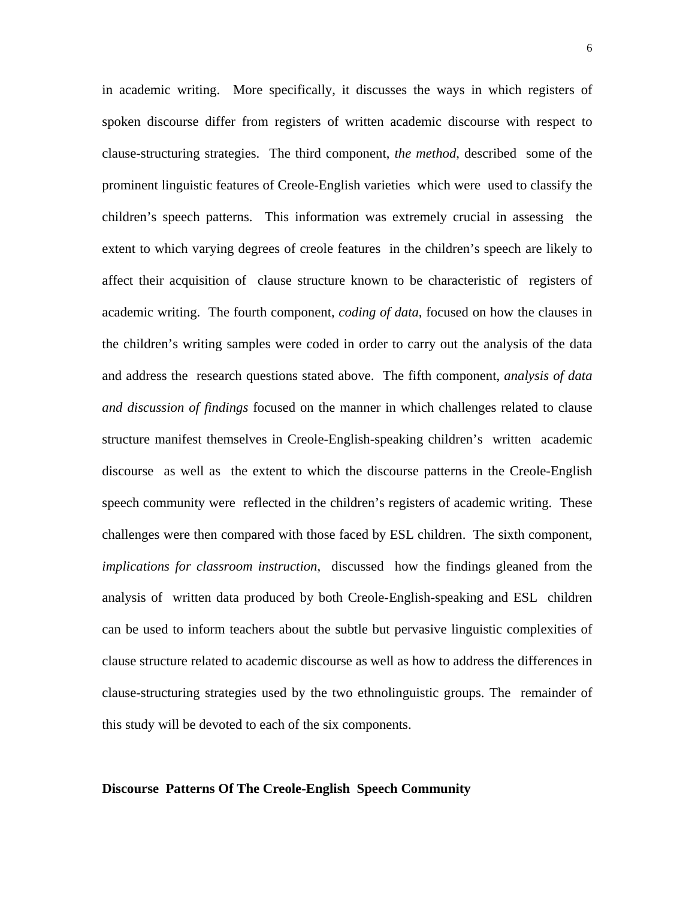in academic writing. More specifically, it discusses the ways in which registers of spoken discourse differ from registers of written academic discourse with respect to clause-structuring strategies. The third component, *the method*, described some of the prominent linguistic features of Creole-English varieties which were used to classify the children's speech patterns. This information was extremely crucial in assessing the extent to which varying degrees of creole features in the children's speech are likely to affect their acquisition of clause structure known to be characteristic of registers of academic writing. The fourth component, *coding of data*, focused on how the clauses in the children's writing samples were coded in order to carry out the analysis of the data and address the research questions stated above. The fifth component, *analysis of data and discussion of findings* focused on the manner in which challenges related to clause structure manifest themselves in Creole-English-speaking children's written academic discourse as well as the extent to which the discourse patterns in the Creole-English speech community were reflected in the children's registers of academic writing. These challenges were then compared with those faced by ESL children. The sixth component, *implications for classroom instruction*, discussed how the findings gleaned from the analysis of written data produced by both Creole-English-speaking and ESL children can be used to inform teachers about the subtle but pervasive linguistic complexities of clause structure related to academic discourse as well as how to address the differences in clause-structuring strategies used by the two ethnolinguistic groups. The remainder of this study will be devoted to each of the six components.

# **Discourse Patterns Of The Creole-English Speech Community**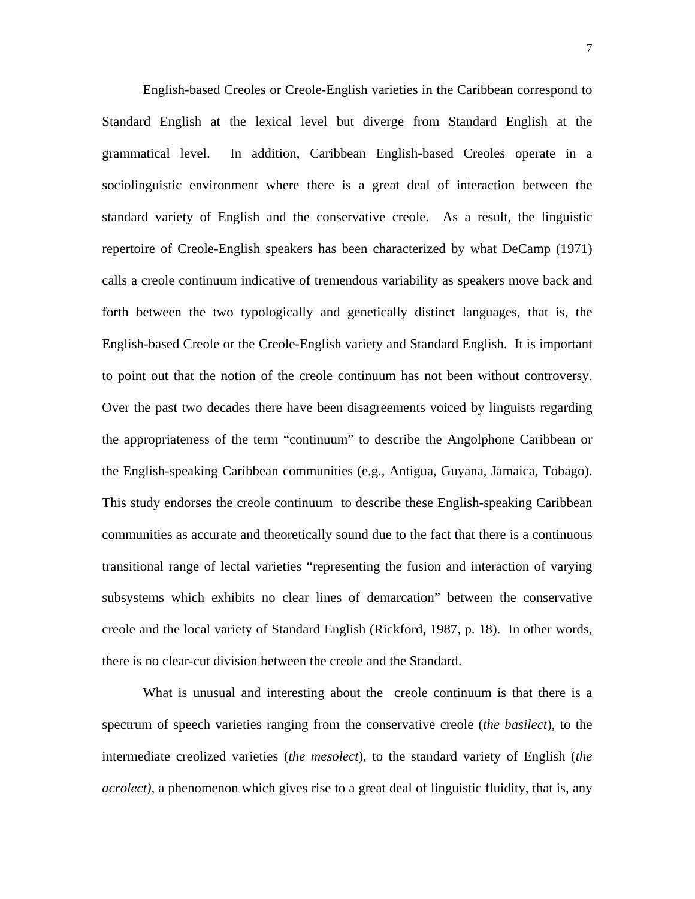English-based Creoles or Creole-English varieties in the Caribbean correspond to Standard English at the lexical level but diverge from Standard English at the grammatical level. In addition, Caribbean English-based Creoles operate in a sociolinguistic environment where there is a great deal of interaction between the standard variety of English and the conservative creole. As a result, the linguistic repertoire of Creole-English speakers has been characterized by what DeCamp (1971) calls a creole continuum indicative of tremendous variability as speakers move back and forth between the two typologically and genetically distinct languages, that is, the English-based Creole or the Creole-English variety and Standard English. It is important to point out that the notion of the creole continuum has not been without controversy. Over the past two decades there have been disagreements voiced by linguists regarding the appropriateness of the term "continuum" to describe the Angolphone Caribbean or the English-speaking Caribbean communities (e.g., Antigua, Guyana, Jamaica, Tobago). This study endorses the creole continuum to describe these English-speaking Caribbean communities as accurate and theoretically sound due to the fact that there is a continuous transitional range of lectal varieties "representing the fusion and interaction of varying subsystems which exhibits no clear lines of demarcation" between the conservative creole and the local variety of Standard English (Rickford, 1987, p. 18). In other words, there is no clear-cut division between the creole and the Standard.

What is unusual and interesting about the creole continuum is that there is a spectrum of speech varieties ranging from the conservative creole (*the basilect*), to the intermediate creolized varieties (*the mesolect*), to the standard variety of English (*the acrolect)*, a phenomenon which gives rise to a great deal of linguistic fluidity, that is, any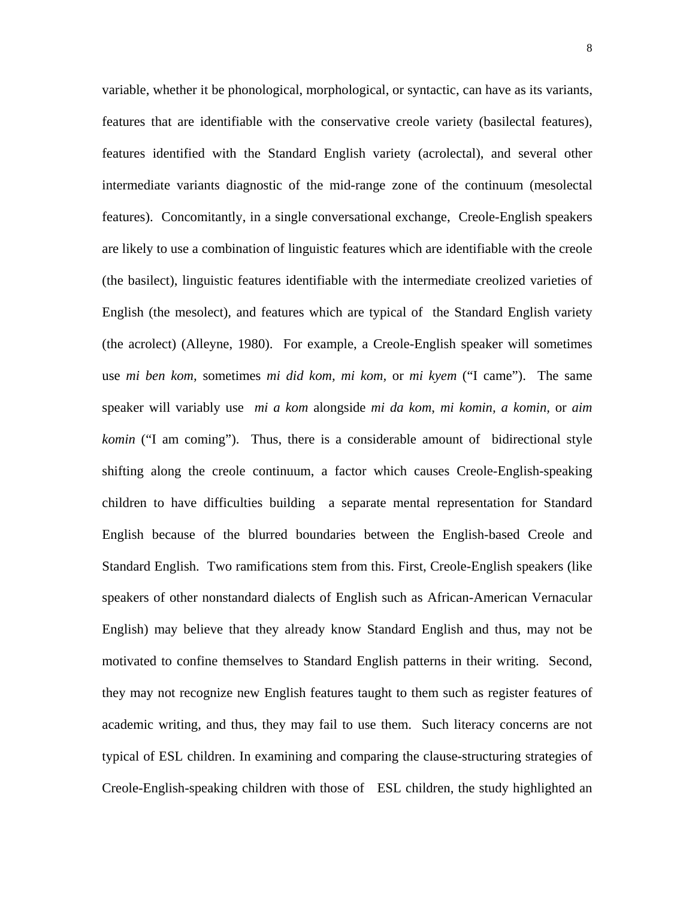variable, whether it be phonological, morphological, or syntactic, can have as its variants, features that are identifiable with the conservative creole variety (basilectal features), features identified with the Standard English variety (acrolectal), and several other intermediate variants diagnostic of the mid-range zone of the continuum (mesolectal features). Concomitantly, in a single conversational exchange, Creole-English speakers are likely to use a combination of linguistic features which are identifiable with the creole (the basilect), linguistic features identifiable with the intermediate creolized varieties of English (the mesolect), and features which are typical of the Standard English variety (the acrolect) (Alleyne, 1980). For example, a Creole-English speaker will sometimes use *mi ben kom,* sometimes *mi did kom, mi kom,* or *mi kyem* ("I came"). The same speaker will variably use *mi a kom* alongside *mi da kom*, *mi komin, a komin,* or *aim komin* ("I am coming"). Thus, there is a considerable amount of bidirectional style shifting along the creole continuum, a factor which causes Creole-English-speaking children to have difficulties building a separate mental representation for Standard English because of the blurred boundaries between the English-based Creole and Standard English. Two ramifications stem from this. First, Creole-English speakers (like speakers of other nonstandard dialects of English such as African-American Vernacular English) may believe that they already know Standard English and thus, may not be motivated to confine themselves to Standard English patterns in their writing. Second, they may not recognize new English features taught to them such as register features of academic writing, and thus, they may fail to use them. Such literacy concerns are not typical of ESL children. In examining and comparing the clause-structuring strategies of Creole-English-speaking children with those of ESL children, the study highlighted an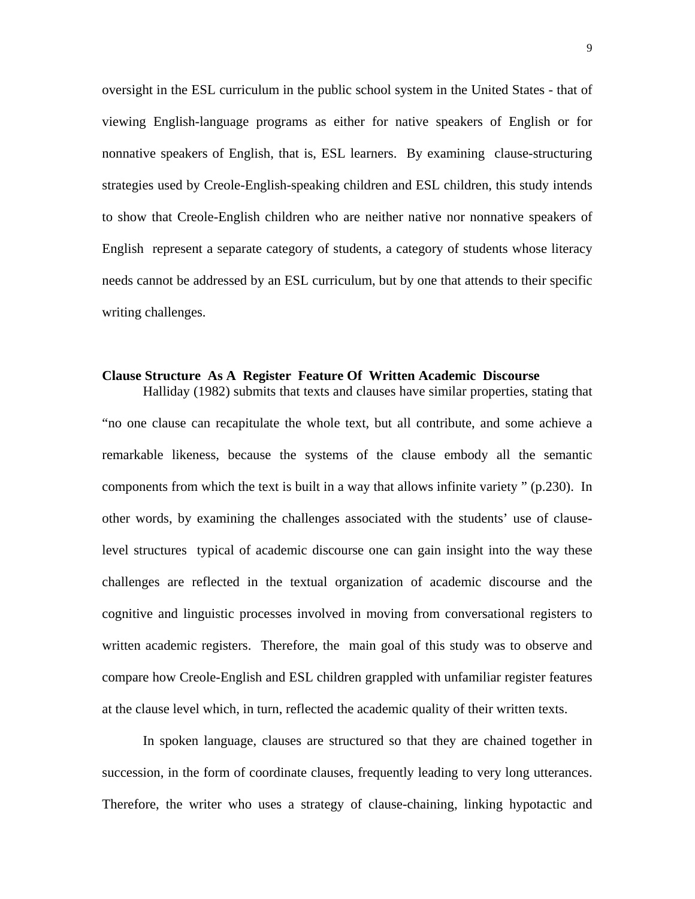oversight in the ESL curriculum in the public school system in the United States - that of viewing English-language programs as either for native speakers of English or for nonnative speakers of English, that is, ESL learners. By examining clause-structuring strategies used by Creole-English-speaking children and ESL children, this study intends to show that Creole-English children who are neither native nor nonnative speakers of English represent a separate category of students, a category of students whose literacy needs cannot be addressed by an ESL curriculum, but by one that attends to their specific writing challenges.

## **Clause Structure As A Register Feature Of Written Academic Discourse**

 Halliday (1982) submits that texts and clauses have similar properties, stating that "no one clause can recapitulate the whole text, but all contribute, and some achieve a remarkable likeness, because the systems of the clause embody all the semantic components from which the text is built in a way that allows infinite variety " (p.230). In other words, by examining the challenges associated with the students' use of clauselevel structures typical of academic discourse one can gain insight into the way these challenges are reflected in the textual organization of academic discourse and the cognitive and linguistic processes involved in moving from conversational registers to written academic registers. Therefore, the main goal of this study was to observe and compare how Creole-English and ESL children grappled with unfamiliar register features at the clause level which, in turn, reflected the academic quality of their written texts.

In spoken language, clauses are structured so that they are chained together in succession, in the form of coordinate clauses, frequently leading to very long utterances. Therefore, the writer who uses a strategy of clause-chaining, linking hypotactic and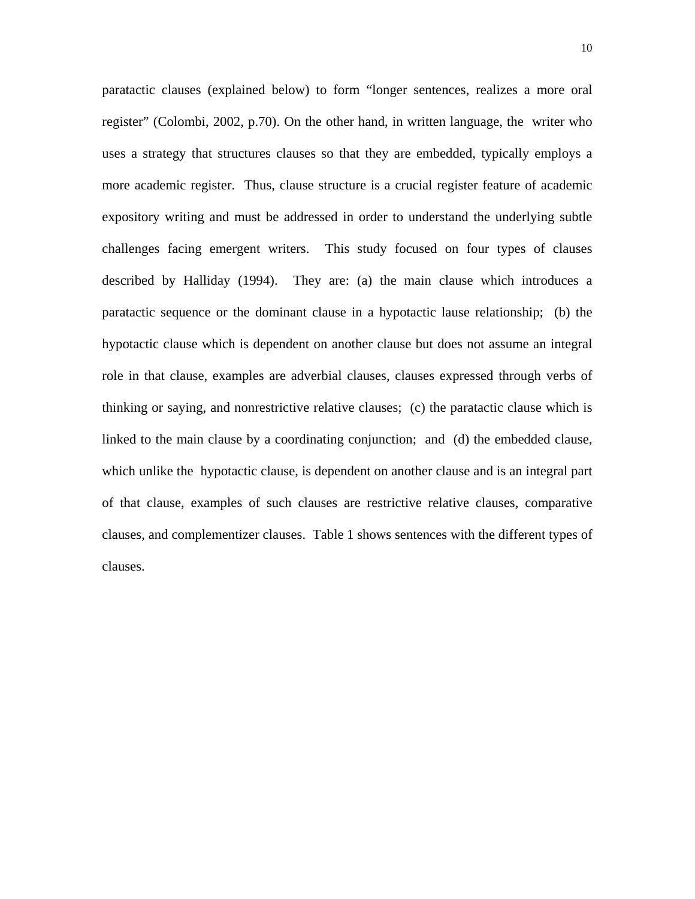paratactic clauses (explained below) to form "longer sentences, realizes a more oral register" (Colombi, 2002, p.70). On the other hand, in written language, the writer who uses a strategy that structures clauses so that they are embedded, typically employs a more academic register. Thus, clause structure is a crucial register feature of academic expository writing and must be addressed in order to understand the underlying subtle challenges facing emergent writers. This study focused on four types of clauses described by Halliday (1994). They are: (a) the main clause which introduces a paratactic sequence or the dominant clause in a hypotactic lause relationship; (b) the hypotactic clause which is dependent on another clause but does not assume an integral role in that clause, examples are adverbial clauses, clauses expressed through verbs of thinking or saying, and nonrestrictive relative clauses; (c) the paratactic clause which is linked to the main clause by a coordinating conjunction; and (d) the embedded clause, which unlike the hypotactic clause, is dependent on another clause and is an integral part of that clause, examples of such clauses are restrictive relative clauses, comparative clauses, and complementizer clauses. Table 1 shows sentences with the different types of clauses.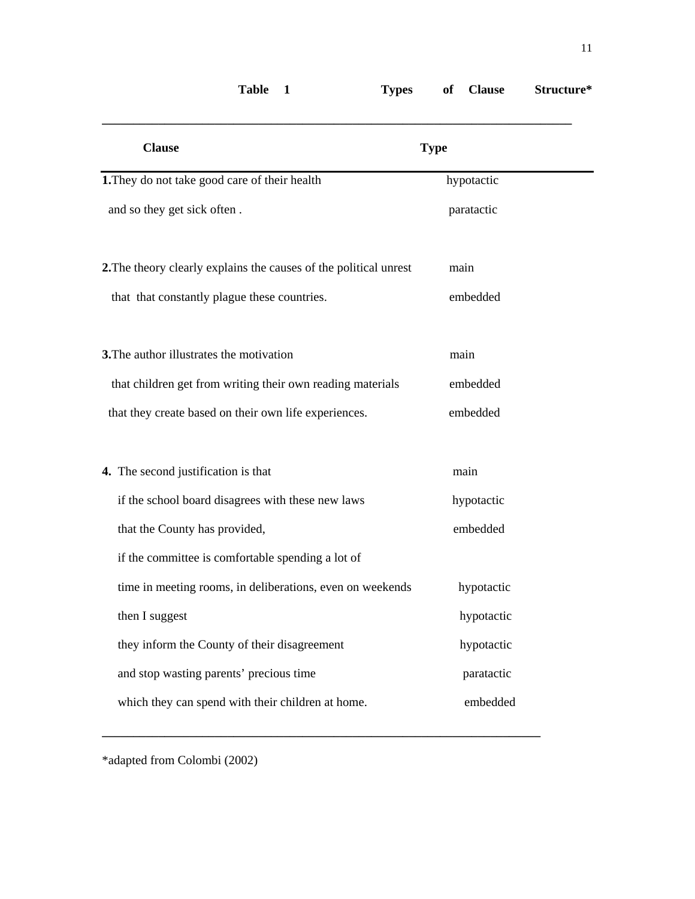| <b>Clause</b>                                                     | <b>Type</b> |
|-------------------------------------------------------------------|-------------|
| 1. They do not take good care of their health                     | hypotactic  |
| and so they get sick often.                                       | paratactic  |
| 2. The theory clearly explains the causes of the political unrest | main        |
| that that constantly plague these countries.                      | embedded    |
| 3. The author illustrates the motivation                          | main        |
| that children get from writing their own reading materials        | embedded    |
| that they create based on their own life experiences.             | embedded    |
| 4. The second justification is that                               | main        |
| if the school board disagrees with these new laws                 | hypotactic  |
| that the County has provided,                                     | embedded    |
| if the committee is comfortable spending a lot of                 |             |
| time in meeting rooms, in deliberations, even on weekends         | hypotactic  |
| then I suggest                                                    | hypotactic  |
| they inform the County of their disagreement                      | hypotactic  |
| and stop wasting parents' precious time                           | paratactic  |
| which they can spend with their children at home.                 | embedded    |

**\_\_\_\_\_\_\_\_\_\_\_\_\_\_\_\_\_\_\_\_\_\_\_\_\_\_\_\_\_\_\_\_\_\_\_\_\_\_\_\_\_\_\_\_\_\_\_\_\_\_\_\_\_\_\_\_\_\_\_\_\_\_\_\_\_\_\_\_\_\_** 

**Table 1 Types of Clause Structure\*** 

\*adapted from Colombi (2002)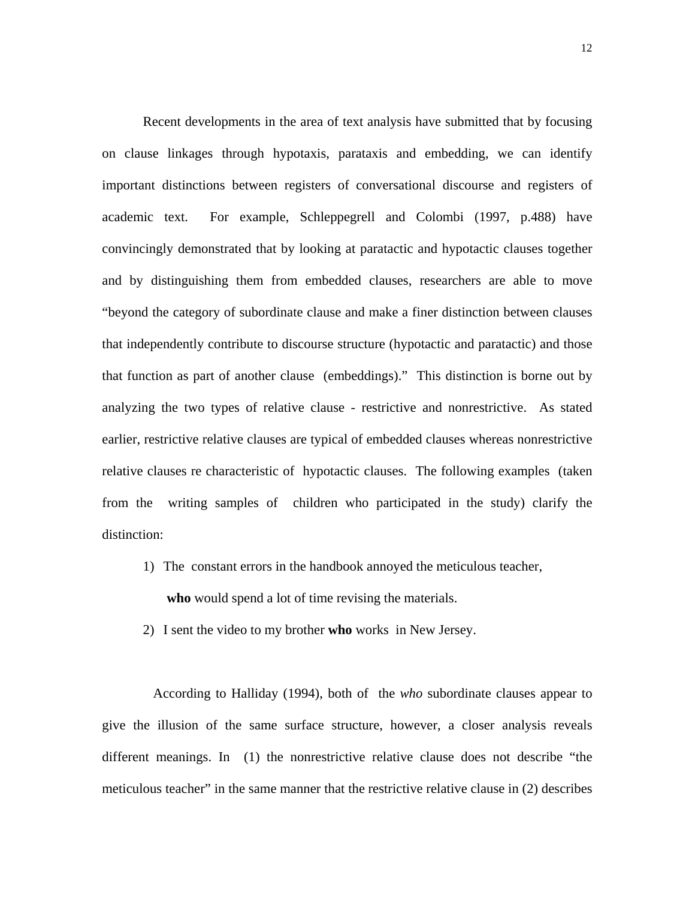Recent developments in the area of text analysis have submitted that by focusing on clause linkages through hypotaxis, parataxis and embedding, we can identify important distinctions between registers of conversational discourse and registers of academic text. For example, Schleppegrell and Colombi (1997, p.488) have convincingly demonstrated that by looking at paratactic and hypotactic clauses together and by distinguishing them from embedded clauses, researchers are able to move "beyond the category of subordinate clause and make a finer distinction between clauses that independently contribute to discourse structure (hypotactic and paratactic) and those that function as part of another clause (embeddings)." This distinction is borne out by analyzing the two types of relative clause - restrictive and nonrestrictive. As stated earlier, restrictive relative clauses are typical of embedded clauses whereas nonrestrictive relative clauses re characteristic of hypotactic clauses. The following examples (taken from the writing samples of children who participated in the study) clarify the distinction:

- 1) The constant errors in the handbook annoyed the meticulous teacher, **who** would spend a lot of time revising the materials.
- 2) I sent the video to my brother **who** works in New Jersey.

 According to Halliday (1994), both of the *who* subordinate clauses appear to give the illusion of the same surface structure, however, a closer analysis reveals different meanings. In (1) the nonrestrictive relative clause does not describe "the meticulous teacher" in the same manner that the restrictive relative clause in (2) describes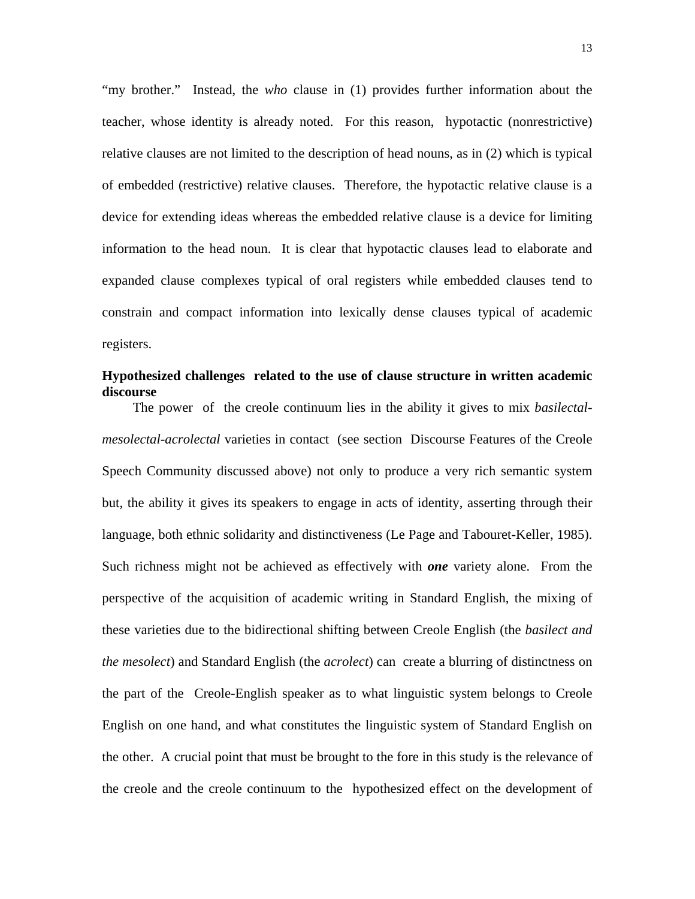"my brother." Instead, the *who* clause in (1) provides further information about the teacher, whose identity is already noted. For this reason, hypotactic (nonrestrictive) relative clauses are not limited to the description of head nouns, as in (2) which is typical of embedded (restrictive) relative clauses. Therefore, the hypotactic relative clause is a device for extending ideas whereas the embedded relative clause is a device for limiting information to the head noun. It is clear that hypotactic clauses lead to elaborate and expanded clause complexes typical of oral registers while embedded clauses tend to constrain and compact information into lexically dense clauses typical of academic registers.

# **Hypothesized challenges related to the use of clause structure in written academic discourse**

 The power of the creole continuum lies in the ability it gives to mix *basilectalmesolectal-acrolectal* varieties in contact (see section Discourse Features of the Creole Speech Community discussed above) not only to produce a very rich semantic system but, the ability it gives its speakers to engage in acts of identity, asserting through their language, both ethnic solidarity and distinctiveness (Le Page and Tabouret-Keller, 1985). Such richness might not be achieved as effectively with *one* variety alone. From the perspective of the acquisition of academic writing in Standard English, the mixing of these varieties due to the bidirectional shifting between Creole English (the *basilect and the mesolect*) and Standard English (the *acrolect*) can create a blurring of distinctness on the part of the Creole-English speaker as to what linguistic system belongs to Creole English on one hand, and what constitutes the linguistic system of Standard English on the other. A crucial point that must be brought to the fore in this study is the relevance of the creole and the creole continuum to the hypothesized effect on the development of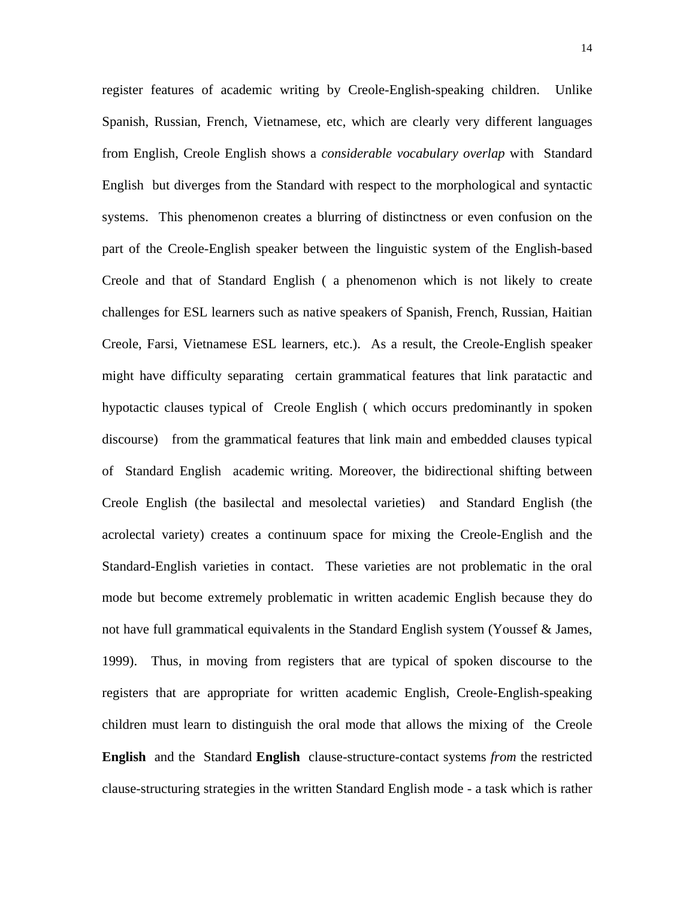register features of academic writing by Creole-English-speaking children. Unlike Spanish, Russian, French, Vietnamese, etc, which are clearly very different languages from English, Creole English shows a *considerable vocabulary overlap* with Standard English but diverges from the Standard with respect to the morphological and syntactic systems. This phenomenon creates a blurring of distinctness or even confusion on the part of the Creole-English speaker between the linguistic system of the English-based Creole and that of Standard English ( a phenomenon which is not likely to create challenges for ESL learners such as native speakers of Spanish, French, Russian, Haitian Creole, Farsi, Vietnamese ESL learners, etc.). As a result, the Creole-English speaker might have difficulty separating certain grammatical features that link paratactic and hypotactic clauses typical of Creole English ( which occurs predominantly in spoken discourse) from the grammatical features that link main and embedded clauses typical of Standard English academic writing. Moreover, the bidirectional shifting between Creole English (the basilectal and mesolectal varieties) and Standard English (the acrolectal variety) creates a continuum space for mixing the Creole-English and the Standard-English varieties in contact. These varieties are not problematic in the oral mode but become extremely problematic in written academic English because they do not have full grammatical equivalents in the Standard English system (Youssef & James, 1999). Thus, in moving from registers that are typical of spoken discourse to the registers that are appropriate for written academic English, Creole-English-speaking children must learn to distinguish the oral mode that allows the mixing of the Creole **English** and the Standard **English** clause-structure-contact systems *from* the restricted clause-structuring strategies in the written Standard English mode - a task which is rather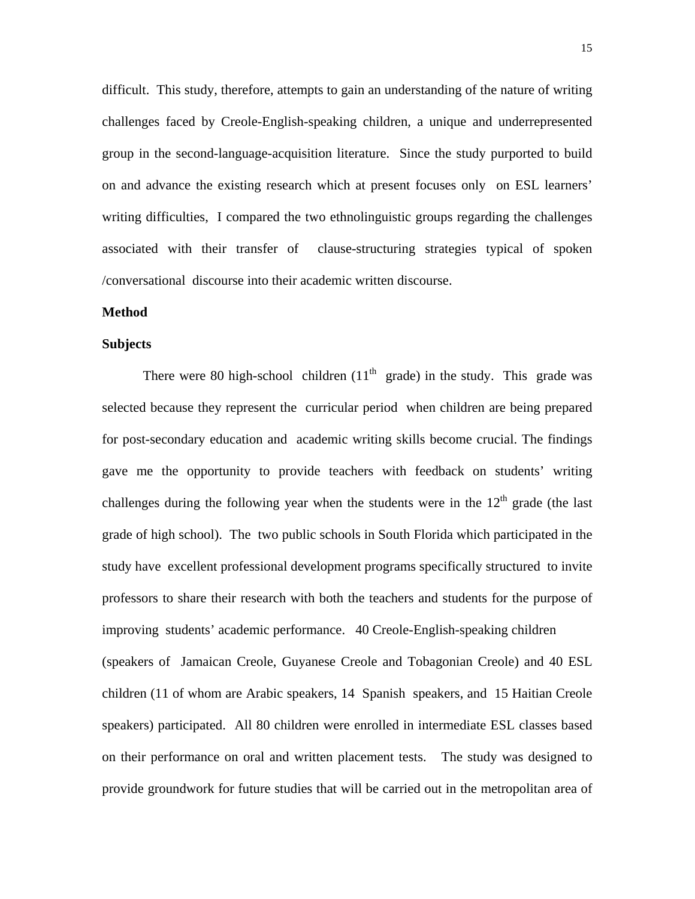difficult. This study, therefore, attempts to gain an understanding of the nature of writing challenges faced by Creole-English-speaking children, a unique and underrepresented group in the second-language-acquisition literature. Since the study purported to build on and advance the existing research which at present focuses only on ESL learners' writing difficulties, I compared the two ethnolinguistic groups regarding the challenges associated with their transfer of clause-structuring strategies typical of spoken /conversational discourse into their academic written discourse.

## **Method**

#### **Subjects**

There were 80 high-school children  $(11<sup>th</sup>$  grade) in the study. This grade was selected because they represent the curricular period when children are being prepared for post-secondary education and academic writing skills become crucial. The findings gave me the opportunity to provide teachers with feedback on students' writing challenges during the following year when the students were in the  $12<sup>th</sup>$  grade (the last grade of high school). The two public schools in South Florida which participated in the study have excellent professional development programs specifically structured to invite professors to share their research with both the teachers and students for the purpose of improving students' academic performance. 40 Creole-English-speaking children (speakers of Jamaican Creole, Guyanese Creole and Tobagonian Creole) and 40 ESL children (11 of whom are Arabic speakers, 14 Spanish speakers, and 15 Haitian Creole speakers) participated. All 80 children were enrolled in intermediate ESL classes based on their performance on oral and written placement tests. The study was designed to provide groundwork for future studies that will be carried out in the metropolitan area of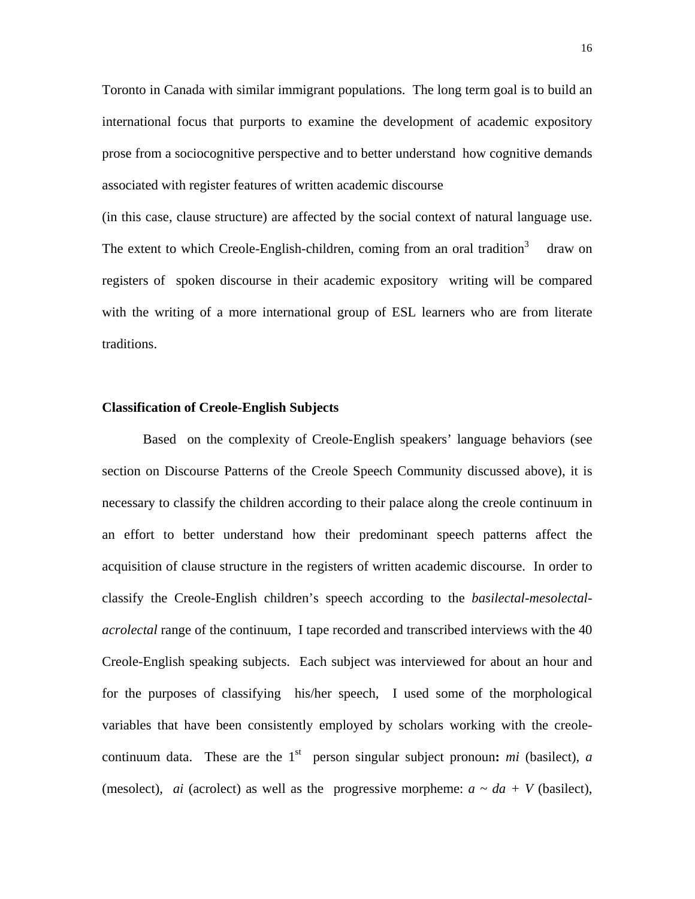Toronto in Canada with similar immigrant populations. The long term goal is to build an international focus that purports to examine the development of academic expository prose from a sociocognitive perspective and to better understand how cognitive demands associated with register features of written academic discourse

(in this case, clause structure) are affected by the social context of natural language use. The extent to which Creole-English-children, coming from an oral tradition<sup>3</sup> draw on registers of spoken discourse in their academic expository writing will be compared with the writing of a more international group of ESL learners who are from literate traditions.

# **Classification of Creole-English Subjects**

Based on the complexity of Creole-English speakers' language behaviors (see section on Discourse Patterns of the Creole Speech Community discussed above), it is necessary to classify the children according to their palace along the creole continuum in an effort to better understand how their predominant speech patterns affect the acquisition of clause structure in the registers of written academic discourse. In order to classify the Creole-English children's speech according to the *basilectal-mesolectalacrolectal* range of the continuum, I tape recorded and transcribed interviews with the 40 Creole-English speaking subjects. Each subject was interviewed for about an hour and for the purposes of classifying his/her speech, I used some of the morphological variables that have been consistently employed by scholars working with the creolecontinuum data. These are the  $1<sup>st</sup>$  person singular subject pronoun: *mi* (basilect), *a* (mesolect), *ai* (acrolect) as well as the progressive morpheme:  $a \sim da + V$  (basilect),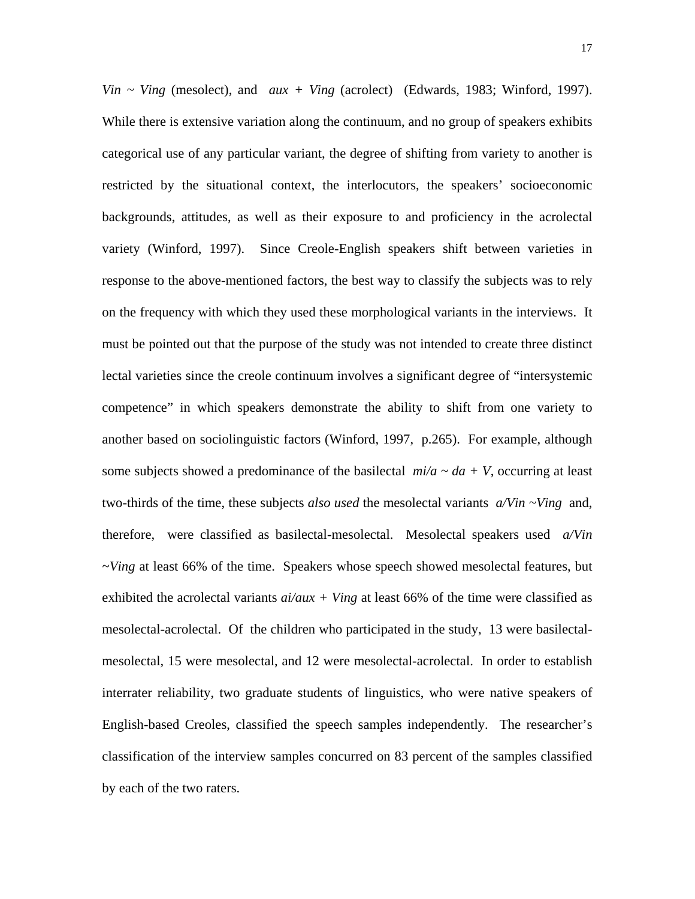*Vin ~ Ving* (mesolect), and *aux + Ving* (acrolect) (Edwards, 1983; Winford, 1997). While there is extensive variation along the continuum, and no group of speakers exhibits categorical use of any particular variant, the degree of shifting from variety to another is restricted by the situational context, the interlocutors, the speakers' socioeconomic backgrounds, attitudes, as well as their exposure to and proficiency in the acrolectal variety (Winford, 1997). Since Creole-English speakers shift between varieties in response to the above-mentioned factors, the best way to classify the subjects was to rely on the frequency with which they used these morphological variants in the interviews. It must be pointed out that the purpose of the study was not intended to create three distinct lectal varieties since the creole continuum involves a significant degree of "intersystemic competence" in which speakers demonstrate the ability to shift from one variety to another based on sociolinguistic factors (Winford, 1997, p.265). For example, although some subjects showed a predominance of the basilectal  $mi/a \sim da + V$ , occurring at least two-thirds of the time, these subjects *also used* the mesolectal variants *a/Vin ~Ving* and, therefore, were classified as basilectal-mesolectal. Mesolectal speakers used *a/Vin ~Ving* at least 66% of the time. Speakers whose speech showed mesolectal features, but exhibited the acrolectal variants  $ai/aux + Ving$  at least 66% of the time were classified as mesolectal-acrolectal. Of the children who participated in the study, 13 were basilectalmesolectal, 15 were mesolectal, and 12 were mesolectal-acrolectal. In order to establish interrater reliability, two graduate students of linguistics, who were native speakers of English-based Creoles, classified the speech samples independently. The researcher's classification of the interview samples concurred on 83 percent of the samples classified by each of the two raters.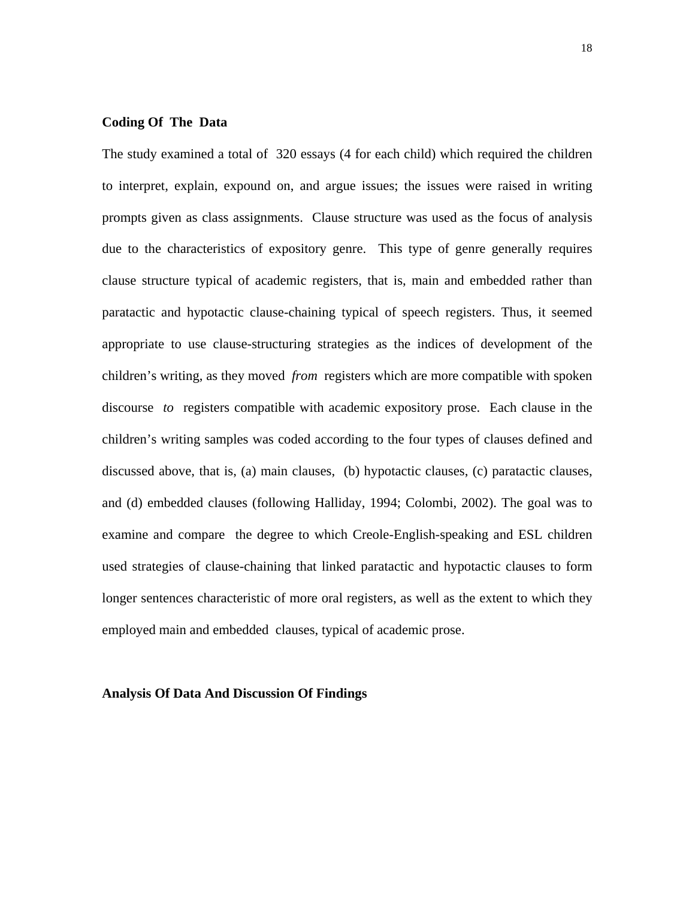# **Coding Of The Data**

The study examined a total of 320 essays (4 for each child) which required the children to interpret, explain, expound on, and argue issues; the issues were raised in writing prompts given as class assignments. Clause structure was used as the focus of analysis due to the characteristics of expository genre. This type of genre generally requires clause structure typical of academic registers, that is, main and embedded rather than paratactic and hypotactic clause-chaining typical of speech registers. Thus, it seemed appropriate to use clause-structuring strategies as the indices of development of the children's writing, as they moved *from* registers which are more compatible with spoken discourse *to* registers compatible with academic expository prose. Each clause in the children's writing samples was coded according to the four types of clauses defined and discussed above, that is, (a) main clauses, (b) hypotactic clauses, (c) paratactic clauses, and (d) embedded clauses (following Halliday, 1994; Colombi, 2002). The goal was to examine and compare the degree to which Creole-English-speaking and ESL children used strategies of clause-chaining that linked paratactic and hypotactic clauses to form longer sentences characteristic of more oral registers, as well as the extent to which they employed main and embedded clauses, typical of academic prose.

#### **Analysis Of Data And Discussion Of Findings**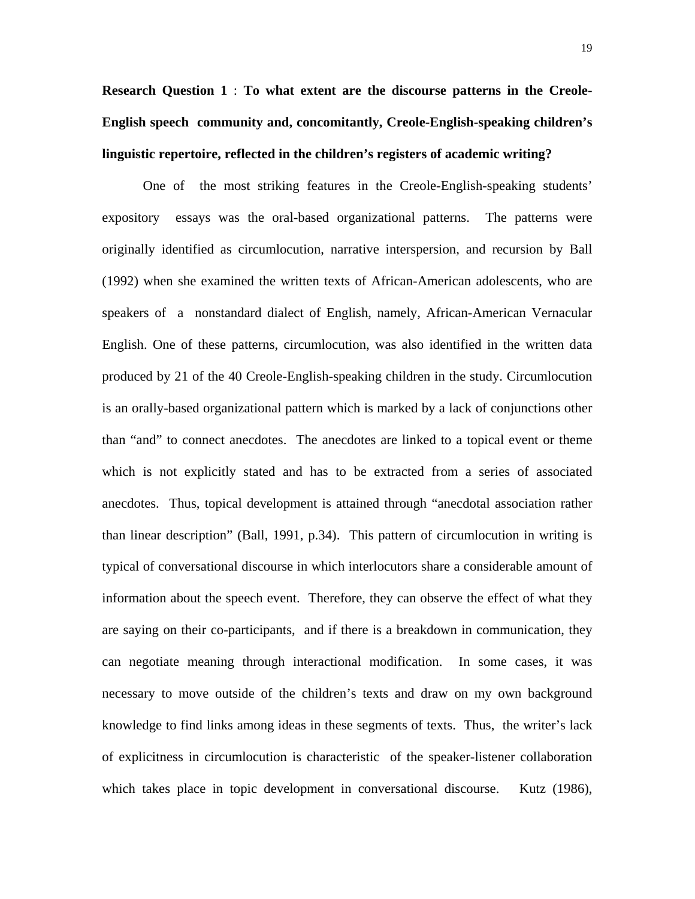**Research Question 1** : **To what extent are the discourse patterns in the Creole-English speech community and, concomitantly, Creole-English-speaking children's linguistic repertoire, reflected in the children's registers of academic writing?** 

One of the most striking features in the Creole-English-speaking students' expository essays was the oral-based organizational patterns. The patterns were originally identified as circumlocution, narrative interspersion, and recursion by Ball (1992) when she examined the written texts of African-American adolescents, who are speakers of a nonstandard dialect of English, namely, African-American Vernacular English. One of these patterns, circumlocution, was also identified in the written data produced by 21 of the 40 Creole-English-speaking children in the study. Circumlocution is an orally-based organizational pattern which is marked by a lack of conjunctions other than "and" to connect anecdotes. The anecdotes are linked to a topical event or theme which is not explicitly stated and has to be extracted from a series of associated anecdotes. Thus, topical development is attained through "anecdotal association rather than linear description" (Ball, 1991, p.34). This pattern of circumlocution in writing is typical of conversational discourse in which interlocutors share a considerable amount of information about the speech event. Therefore, they can observe the effect of what they are saying on their co-participants, and if there is a breakdown in communication, they can negotiate meaning through interactional modification. In some cases, it was necessary to move outside of the children's texts and draw on my own background knowledge to find links among ideas in these segments of texts. Thus, the writer's lack of explicitness in circumlocution is characteristic of the speaker-listener collaboration which takes place in topic development in conversational discourse. Kutz (1986),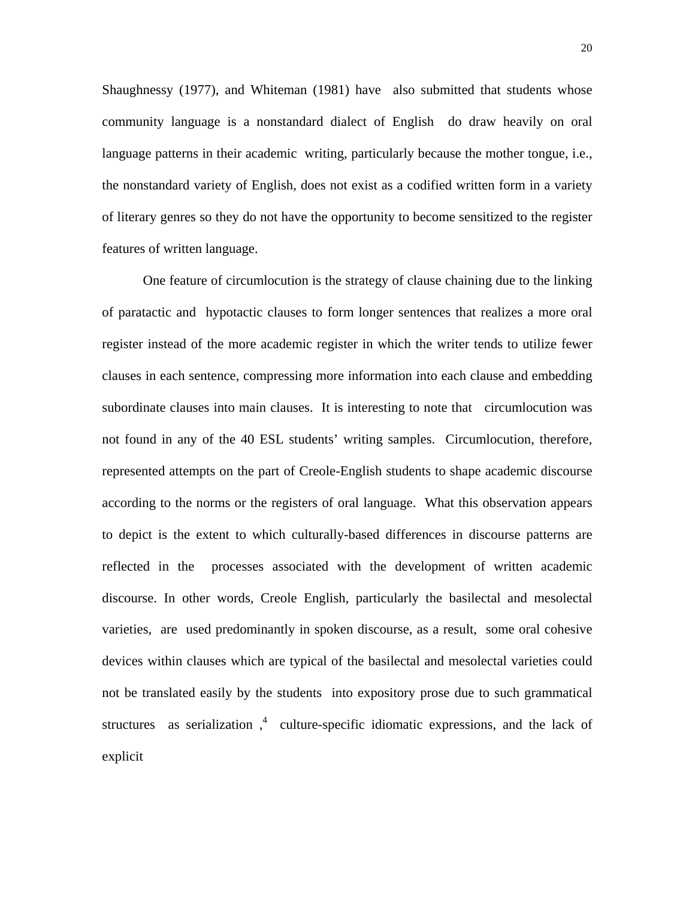Shaughnessy (1977), and Whiteman (1981) have also submitted that students whose community language is a nonstandard dialect of English do draw heavily on oral language patterns in their academic writing, particularly because the mother tongue, i.e., the nonstandard variety of English, does not exist as a codified written form in a variety of literary genres so they do not have the opportunity to become sensitized to the register features of written language.

One feature of circumlocution is the strategy of clause chaining due to the linking of paratactic and hypotactic clauses to form longer sentences that realizes a more oral register instead of the more academic register in which the writer tends to utilize fewer clauses in each sentence, compressing more information into each clause and embedding subordinate clauses into main clauses. It is interesting to note that circumlocution was not found in any of the 40 ESL students' writing samples. Circumlocution, therefore, represented attempts on the part of Creole-English students to shape academic discourse according to the norms or the registers of oral language. What this observation appears to depict is the extent to which culturally-based differences in discourse patterns are reflected in the processes associated with the development of written academic discourse. In other words, Creole English, particularly the basilectal and mesolectal varieties, are used predominantly in spoken discourse, as a result, some oral cohesive devices within clauses which are typical of the basilectal and mesolectal varieties could not be translated easily by the students into expository prose due to such grammatical structures as serialization,  $\frac{4}{7}$  culture-specific idiomatic expressions, and the lack of explicit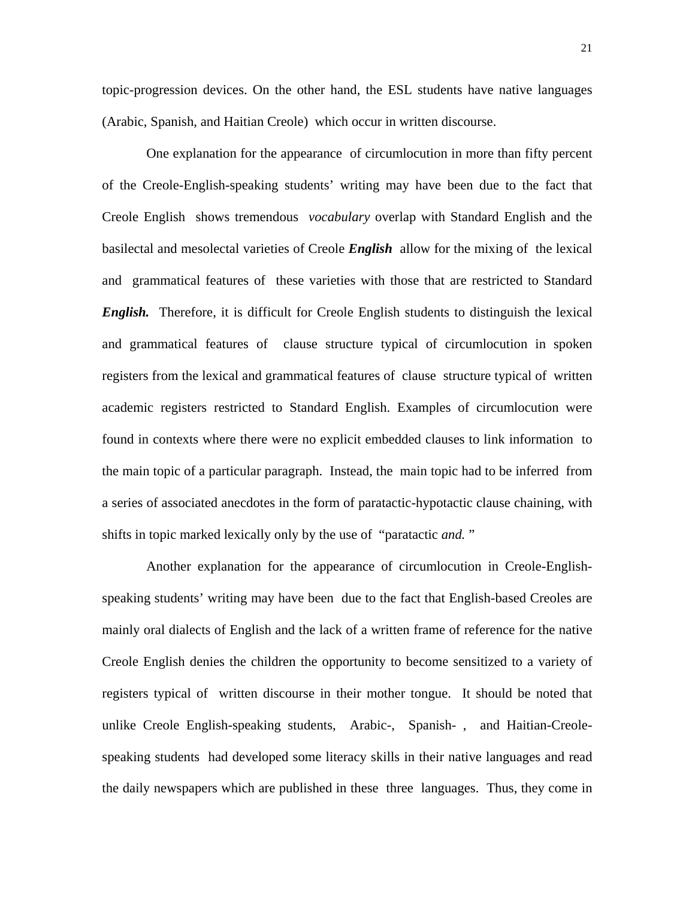topic-progression devices. On the other hand, the ESL students have native languages (Arabic, Spanish, and Haitian Creole) which occur in written discourse.

 One explanation for the appearance of circumlocution in more than fifty percent of the Creole-English-speaking students' writing may have been due to the fact that Creole English shows tremendous *vocabulary* overlap with Standard English and the basilectal and mesolectal varieties of Creole *English* allow for the mixing of the lexical and grammatical features of these varieties with those that are restricted to Standard *English.* Therefore, it is difficult for Creole English students to distinguish the lexical and grammatical features of clause structure typical of circumlocution in spoken registers from the lexical and grammatical features of clause structure typical of written academic registers restricted to Standard English. Examples of circumlocution were found in contexts where there were no explicit embedded clauses to link information to the main topic of a particular paragraph. Instead, the main topic had to be inferred from a series of associated anecdotes in the form of paratactic-hypotactic clause chaining, with shifts in topic marked lexically only by the use of "paratactic *and.* "

 Another explanation for the appearance of circumlocution in Creole-Englishspeaking students' writing may have been due to the fact that English-based Creoles are mainly oral dialects of English and the lack of a written frame of reference for the native Creole English denies the children the opportunity to become sensitized to a variety of registers typical of written discourse in their mother tongue. It should be noted that unlike Creole English-speaking students, Arabic-, Spanish- , and Haitian-Creolespeaking students had developed some literacy skills in their native languages and read the daily newspapers which are published in these three languages. Thus, they come in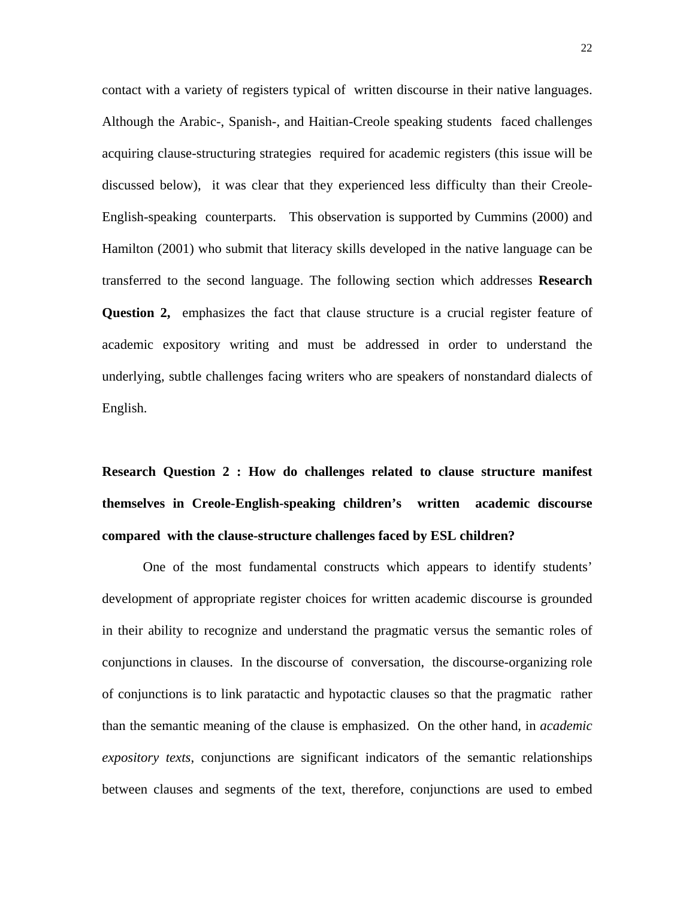contact with a variety of registers typical of written discourse in their native languages. Although the Arabic-, Spanish-, and Haitian-Creole speaking students faced challenges acquiring clause-structuring strategies required for academic registers (this issue will be discussed below), it was clear that they experienced less difficulty than their Creole-English-speaking counterparts. This observation is supported by Cummins (2000) and Hamilton (2001) who submit that literacy skills developed in the native language can be transferred to the second language. The following section which addresses **Research Question 2,** emphasizes the fact that clause structure is a crucial register feature of academic expository writing and must be addressed in order to understand the underlying, subtle challenges facing writers who are speakers of nonstandard dialects of English.

**Research Question 2 : How do challenges related to clause structure manifest themselves in Creole-English-speaking children's written academic discourse compared with the clause-structure challenges faced by ESL children?** 

One of the most fundamental constructs which appears to identify students' development of appropriate register choices for written academic discourse is grounded in their ability to recognize and understand the pragmatic versus the semantic roles of conjunctions in clauses. In the discourse of conversation, the discourse-organizing role of conjunctions is to link paratactic and hypotactic clauses so that the pragmatic rather than the semantic meaning of the clause is emphasized. On the other hand, in *academic expository texts*, conjunctions are significant indicators of the semantic relationships between clauses and segments of the text, therefore, conjunctions are used to embed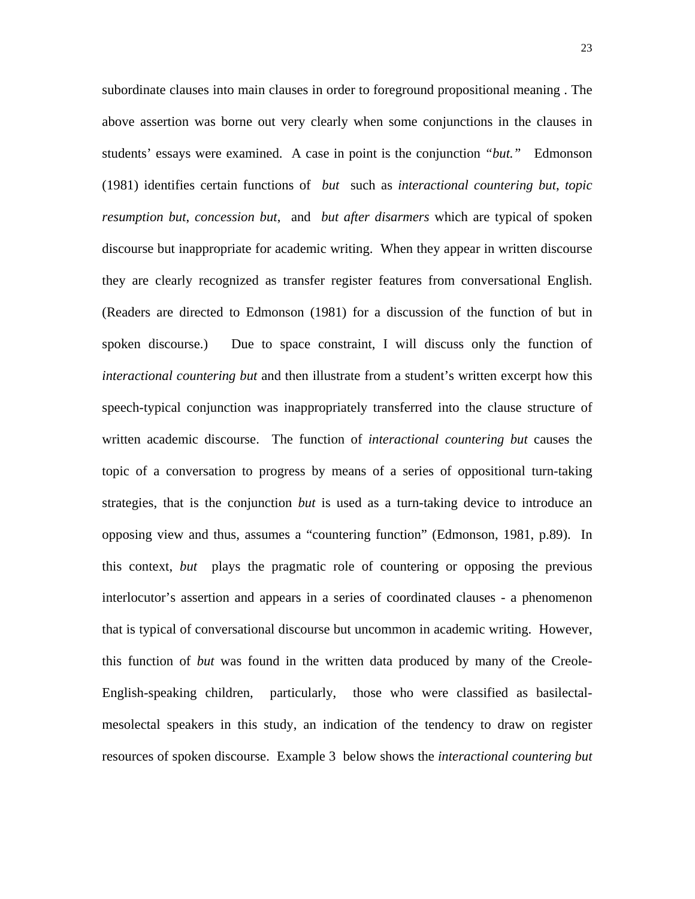subordinate clauses into main clauses in order to foreground propositional meaning . The above assertion was borne out very clearly when some conjunctions in the clauses in students' essays were examined. A case in point is the conjunction *"but."* Edmonson (1981) identifies certain functions of *but* such as *interactional countering but*, *topic resumption but*, *concession but*, and *but after disarmers* which are typical of spoken discourse but inappropriate for academic writing. When they appear in written discourse they are clearly recognized as transfer register features from conversational English. (Readers are directed to Edmonson (1981) for a discussion of the function of but in spoken discourse.) Due to space constraint, I will discuss only the function of *interactional countering but* and then illustrate from a student's written excerpt how this speech-typical conjunction was inappropriately transferred into the clause structure of written academic discourse. The function of *interactional countering but* causes the topic of a conversation to progress by means of a series of oppositional turn-taking strategies, that is the conjunction *but* is used as a turn-taking device to introduce an opposing view and thus, assumes a "countering function" (Edmonson, 1981, p.89). In this context, *but* plays the pragmatic role of countering or opposing the previous interlocutor's assertion and appears in a series of coordinated clauses - a phenomenon that is typical of conversational discourse but uncommon in academic writing. However, this function of *but* was found in the written data produced by many of the Creole-English-speaking children, particularly, those who were classified as basilectalmesolectal speakers in this study, an indication of the tendency to draw on register resources of spoken discourse. Example 3 below shows the *interactional countering but*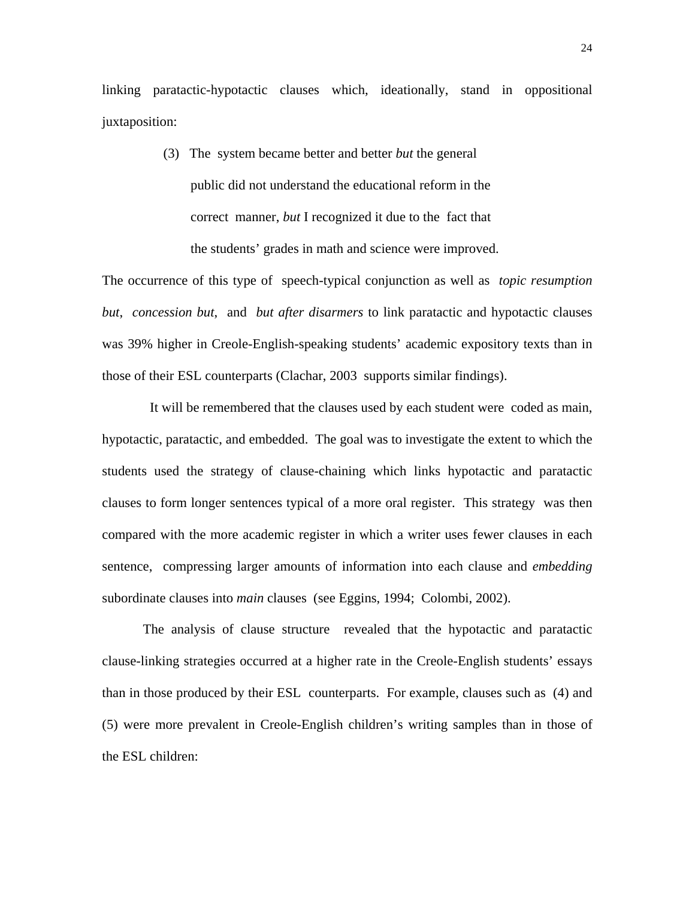linking paratactic-hypotactic clauses which, ideationally, stand in oppositional juxtaposition:

> (3) The system became better and better *but* the general public did not understand the educational reform in the correct manner, *but* I recognized it due to the fact that the students' grades in math and science were improved.

The occurrence of this type of speech-typical conjunction as well as *topic resumption but*, *concession but*, and *but after disarmers* to link paratactic and hypotactic clauses was 39% higher in Creole-English-speaking students' academic expository texts than in those of their ESL counterparts (Clachar, 2003 supports similar findings).

 It will be remembered that the clauses used by each student were coded as main, hypotactic, paratactic, and embedded. The goal was to investigate the extent to which the students used the strategy of clause-chaining which links hypotactic and paratactic clauses to form longer sentences typical of a more oral register. This strategy was then compared with the more academic register in which a writer uses fewer clauses in each sentence, compressing larger amounts of information into each clause and *embedding* subordinate clauses into *main* clauses (see Eggins, 1994; Colombi, 2002).

The analysis of clause structure revealed that the hypotactic and paratactic clause-linking strategies occurred at a higher rate in the Creole-English students' essays than in those produced by their ESL counterparts. For example, clauses such as (4) and (5) were more prevalent in Creole-English children's writing samples than in those of the ESL children: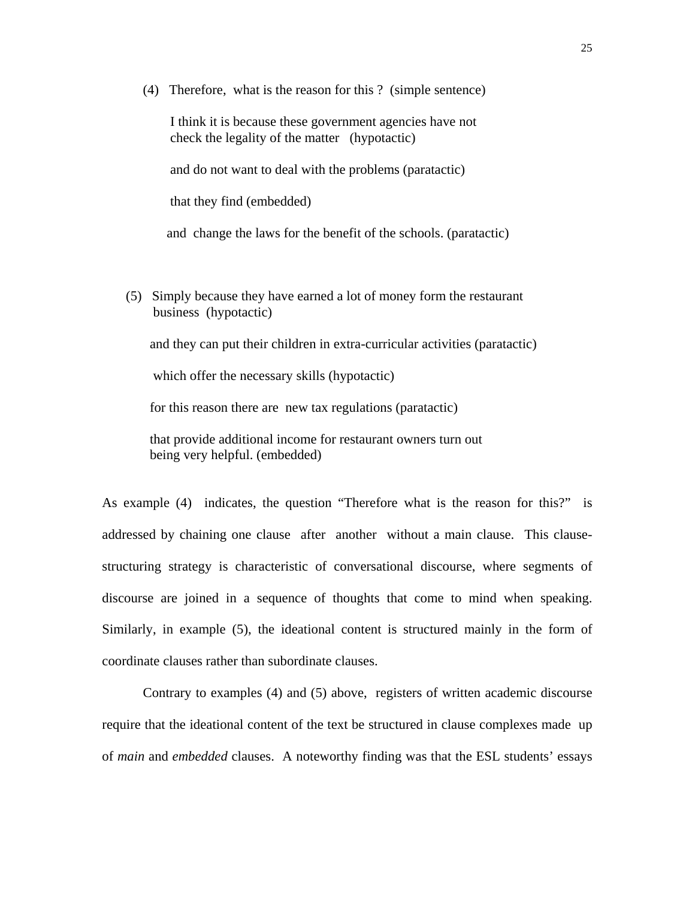(4) Therefore, what is the reason for this ? (simple sentence)

 I think it is because these government agencies have not check the legality of the matter (hypotactic)

and do not want to deal with the problems (paratactic)

that they find (embedded)

and change the laws for the benefit of the schools. (paratactic)

 (5) Simply because they have earned a lot of money form the restaurant business (hypotactic)

and they can put their children in extra-curricular activities (paratactic)

which offer the necessary skills (hypotactic)

for this reason there are new tax regulations (paratactic)

 that provide additional income for restaurant owners turn out being very helpful. (embedded)

As example (4) indicates, the question "Therefore what is the reason for this?" is addressed by chaining one clause after another without a main clause. This clausestructuring strategy is characteristic of conversational discourse, where segments of discourse are joined in a sequence of thoughts that come to mind when speaking. Similarly, in example (5), the ideational content is structured mainly in the form of coordinate clauses rather than subordinate clauses.

 Contrary to examples (4) and (5) above, registers of written academic discourse require that the ideational content of the text be structured in clause complexes made up of *main* and *embedded* clauses. A noteworthy finding was that the ESL students' essays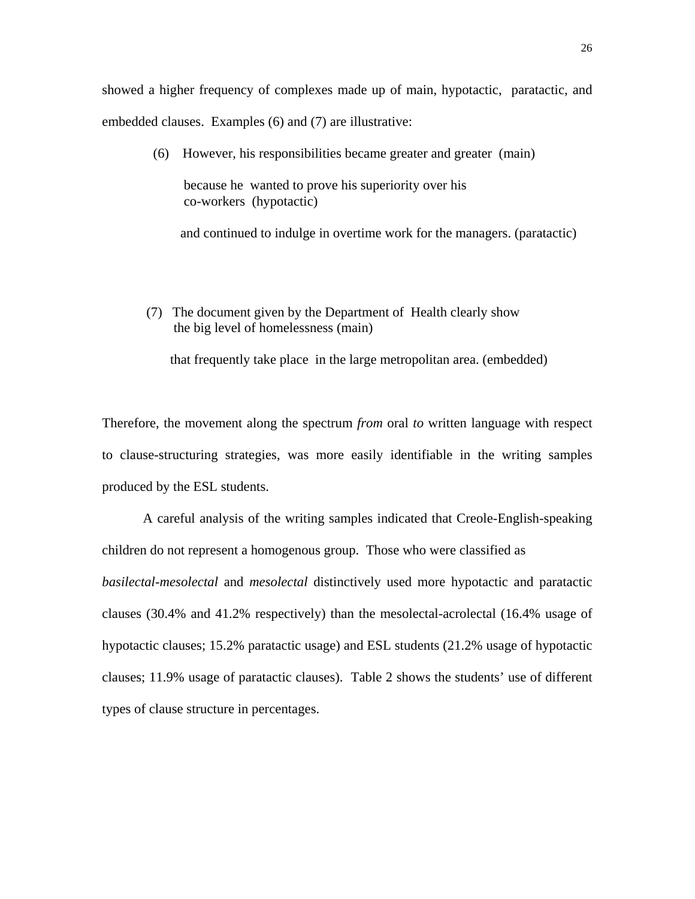showed a higher frequency of complexes made up of main, hypotactic, paratactic, and embedded clauses. Examples (6) and (7) are illustrative:

(6) However, his responsibilities became greater and greater (main)

 because he wanted to prove his superiority over his co-workers (hypotactic)

and continued to indulge in overtime work for the managers. (paratactic)

 (7) The document given by the Department of Health clearly show the big level of homelessness (main)

that frequently take place in the large metropolitan area. (embedded)

Therefore, the movement along the spectrum *from* oral *to* written language with respect to clause-structuring strategies, was more easily identifiable in the writing samples produced by the ESL students.

 A careful analysis of the writing samples indicated that Creole-English-speaking children do not represent a homogenous group. Those who were classified as *basilectal-mesolectal* and *mesolectal* distinctively used more hypotactic and paratactic clauses (30.4% and 41.2% respectively) than the mesolectal-acrolectal (16.4% usage of hypotactic clauses; 15.2% paratactic usage) and ESL students (21.2% usage of hypotactic clauses; 11.9% usage of paratactic clauses). Table 2 shows the students' use of different types of clause structure in percentages.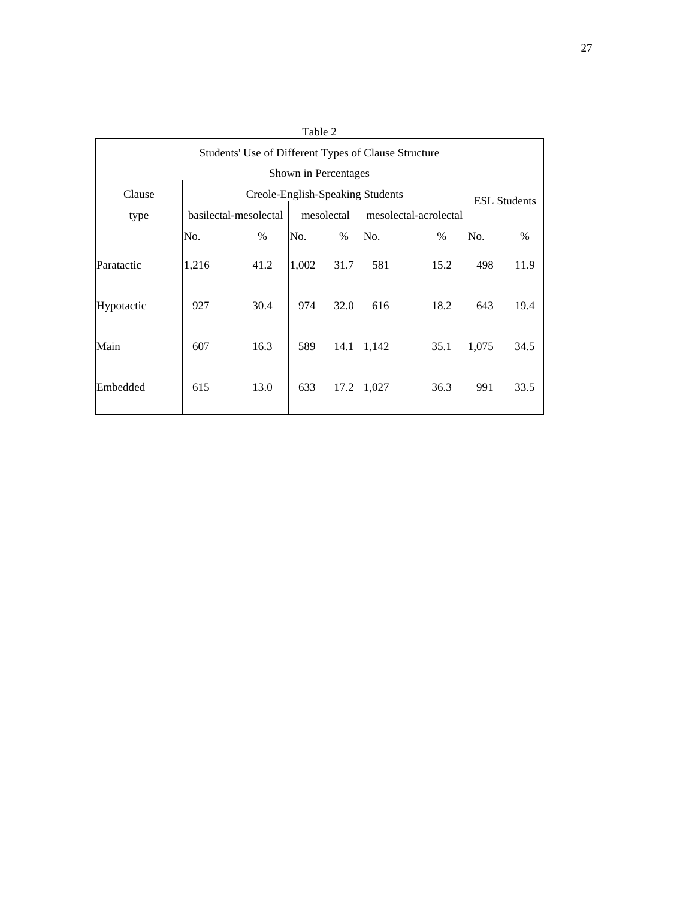| Table 2                                              |                                  |                       |       |            |       |                       |                     |      |  |
|------------------------------------------------------|----------------------------------|-----------------------|-------|------------|-------|-----------------------|---------------------|------|--|
| Students' Use of Different Types of Clause Structure |                                  |                       |       |            |       |                       |                     |      |  |
| Shown in Percentages                                 |                                  |                       |       |            |       |                       |                     |      |  |
| Clause                                               | Creole-English-Speaking Students |                       |       |            |       |                       | <b>ESL Students</b> |      |  |
| type                                                 |                                  | basilectal-mesolectal |       | mesolectal |       | mesolectal-acrolectal |                     |      |  |
|                                                      | No.                              | $\%$                  | No.   | %          | No.   | $\%$                  | No.                 | %    |  |
| Paratactic                                           | 1,216                            | 41.2                  | 1,002 | 31.7       | 581   | 15.2                  | 498                 | 11.9 |  |
| Hypotactic                                           | 927                              | 30.4                  | 974   | 32.0       | 616   | 18.2                  | 643                 | 19.4 |  |
| Main                                                 | 607                              | 16.3                  | 589   | 14.1       | 1,142 | 35.1                  | 1,075               | 34.5 |  |
| Embedded                                             | 615                              | 13.0                  | 633   | 17.2       | 1,027 | 36.3                  | 991                 | 33.5 |  |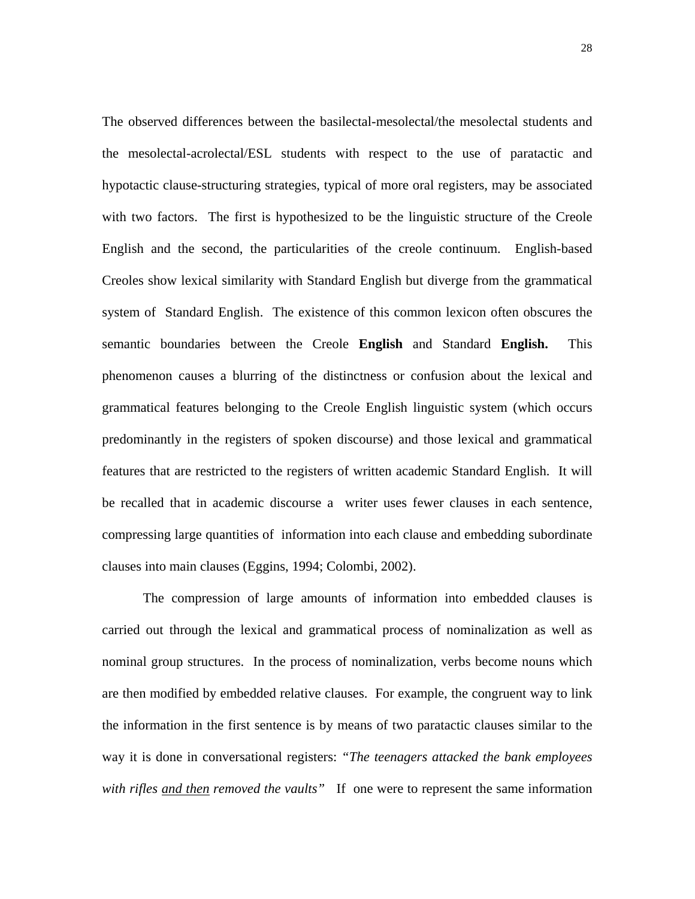The observed differences between the basilectal-mesolectal/the mesolectal students and the mesolectal-acrolectal/ESL students with respect to the use of paratactic and hypotactic clause-structuring strategies, typical of more oral registers, may be associated with two factors. The first is hypothesized to be the linguistic structure of the Creole English and the second, the particularities of the creole continuum. English-based Creoles show lexical similarity with Standard English but diverge from the grammatical system of Standard English. The existence of this common lexicon often obscures the semantic boundaries between the Creole **English** and Standard **English.** This phenomenon causes a blurring of the distinctness or confusion about the lexical and grammatical features belonging to the Creole English linguistic system (which occurs predominantly in the registers of spoken discourse) and those lexical and grammatical features that are restricted to the registers of written academic Standard English. It will be recalled that in academic discourse a writer uses fewer clauses in each sentence, compressing large quantities of information into each clause and embedding subordinate clauses into main clauses (Eggins, 1994; Colombi, 2002).

The compression of large amounts of information into embedded clauses is carried out through the lexical and grammatical process of nominalization as well as nominal group structures. In the process of nominalization, verbs become nouns which are then modified by embedded relative clauses. For example, the congruent way to link the information in the first sentence is by means of two paratactic clauses similar to the way it is done in conversational registers: *"The teenagers attacked the bank employees with rifles and then removed the vaults"* If one were to represent the same information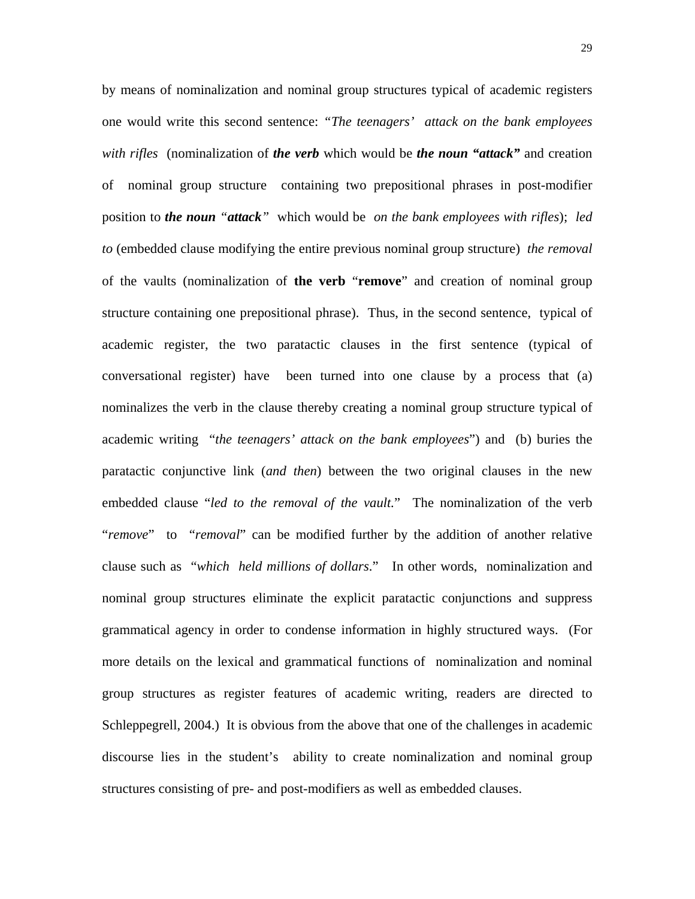by means of nominalization and nominal group structures typical of academic registers one would write this second sentence: *"The teenagers' attack on the bank employees with rifles* (nominalization of *the verb* which would be *the noun "attack"* and creation of nominal group structure containing two prepositional phrases in post-modifier position to *the noun "attack"* which would be *on the bank employees with rifles*); *led to* (embedded clause modifying the entire previous nominal group structure) *the removal* of the vaults (nominalization of **the verb** "**remove**" and creation of nominal group structure containing one prepositional phrase). Thus, in the second sentence, typical of academic register, the two paratactic clauses in the first sentence (typical of conversational register) have been turned into one clause by a process that (a) nominalizes the verb in the clause thereby creating a nominal group structure typical of academic writing "*the teenagers' attack on the bank employees*") and (b) buries the paratactic conjunctive link (*and then*) between the two original clauses in the new embedded clause "*led to the removal of the vault.*" The nominalization of the verb "*remove*" to "*removal*" can be modified further by the addition of another relative clause such as "*which held millions of dollars*." In other words, nominalization and nominal group structures eliminate the explicit paratactic conjunctions and suppress grammatical agency in order to condense information in highly structured ways. (For more details on the lexical and grammatical functions of nominalization and nominal group structures as register features of academic writing, readers are directed to Schleppegrell, 2004.) It is obvious from the above that one of the challenges in academic discourse lies in the student's ability to create nominalization and nominal group structures consisting of pre- and post-modifiers as well as embedded clauses.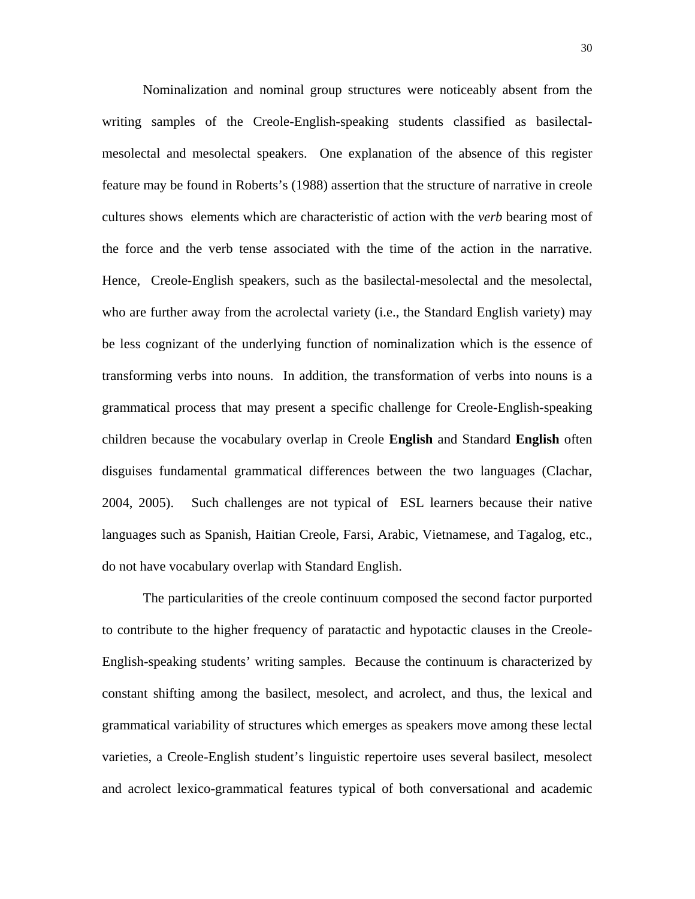Nominalization and nominal group structures were noticeably absent from the writing samples of the Creole-English-speaking students classified as basilectalmesolectal and mesolectal speakers. One explanation of the absence of this register feature may be found in Roberts's (1988) assertion that the structure of narrative in creole cultures shows elements which are characteristic of action with the *verb* bearing most of the force and the verb tense associated with the time of the action in the narrative. Hence, Creole-English speakers, such as the basilectal-mesolectal and the mesolectal, who are further away from the acrolectal variety (i.e., the Standard English variety) may be less cognizant of the underlying function of nominalization which is the essence of transforming verbs into nouns. In addition, the transformation of verbs into nouns is a grammatical process that may present a specific challenge for Creole-English-speaking children because the vocabulary overlap in Creole **English** and Standard **English** often disguises fundamental grammatical differences between the two languages (Clachar, 2004, 2005). Such challenges are not typical of ESL learners because their native languages such as Spanish, Haitian Creole, Farsi, Arabic, Vietnamese, and Tagalog, etc., do not have vocabulary overlap with Standard English.

The particularities of the creole continuum composed the second factor purported to contribute to the higher frequency of paratactic and hypotactic clauses in the Creole-English-speaking students' writing samples. Because the continuum is characterized by constant shifting among the basilect, mesolect, and acrolect, and thus, the lexical and grammatical variability of structures which emerges as speakers move among these lectal varieties, a Creole-English student's linguistic repertoire uses several basilect, mesolect and acrolect lexico-grammatical features typical of both conversational and academic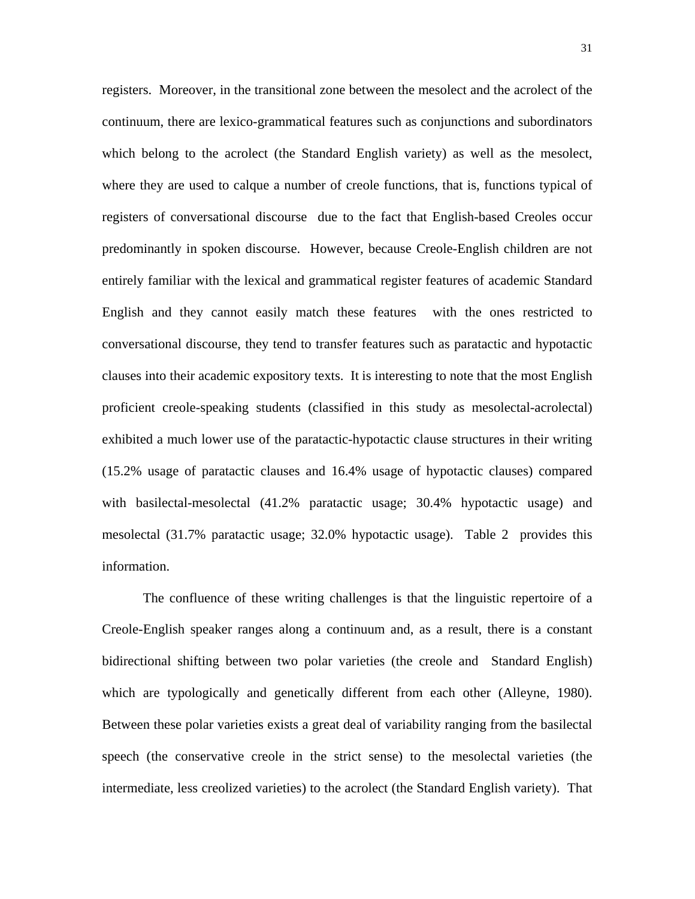registers. Moreover, in the transitional zone between the mesolect and the acrolect of the continuum, there are lexico-grammatical features such as conjunctions and subordinators which belong to the acrolect (the Standard English variety) as well as the mesolect, where they are used to calque a number of creole functions, that is, functions typical of registers of conversational discourse due to the fact that English-based Creoles occur predominantly in spoken discourse. However, because Creole-English children are not entirely familiar with the lexical and grammatical register features of academic Standard English and they cannot easily match these features with the ones restricted to conversational discourse, they tend to transfer features such as paratactic and hypotactic clauses into their academic expository texts. It is interesting to note that the most English proficient creole-speaking students (classified in this study as mesolectal-acrolectal) exhibited a much lower use of the paratactic-hypotactic clause structures in their writing (15.2% usage of paratactic clauses and 16.4% usage of hypotactic clauses) compared with basilectal-mesolectal (41.2% paratactic usage; 30.4% hypotactic usage) and mesolectal (31.7% paratactic usage; 32.0% hypotactic usage). Table 2 provides this information.

The confluence of these writing challenges is that the linguistic repertoire of a Creole-English speaker ranges along a continuum and, as a result, there is a constant bidirectional shifting between two polar varieties (the creole and Standard English) which are typologically and genetically different from each other (Alleyne, 1980). Between these polar varieties exists a great deal of variability ranging from the basilectal speech (the conservative creole in the strict sense) to the mesolectal varieties (the intermediate, less creolized varieties) to the acrolect (the Standard English variety). That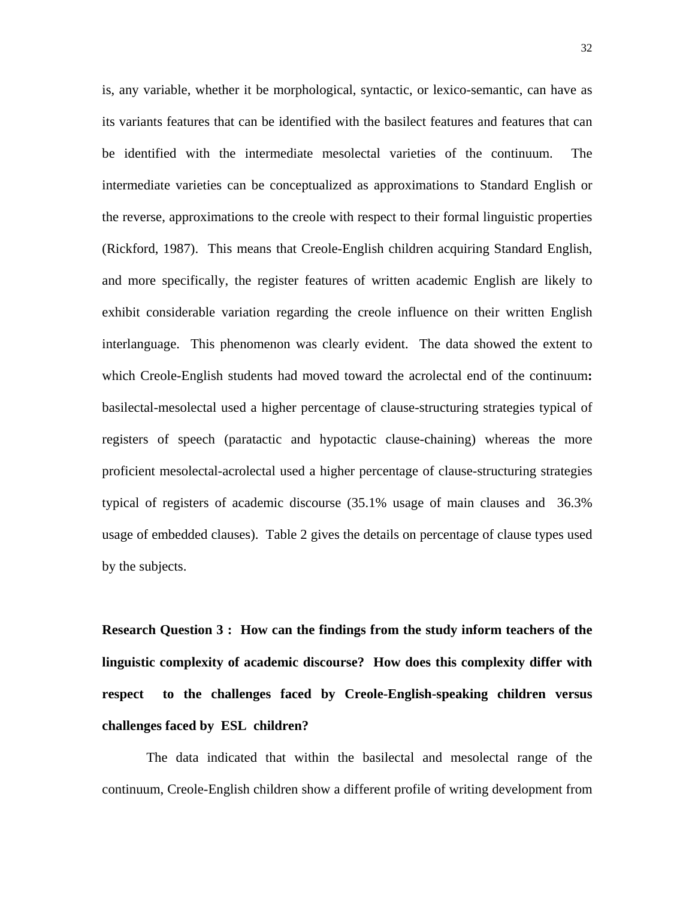is, any variable, whether it be morphological, syntactic, or lexico-semantic, can have as its variants features that can be identified with the basilect features and features that can be identified with the intermediate mesolectal varieties of the continuum. The intermediate varieties can be conceptualized as approximations to Standard English or the reverse, approximations to the creole with respect to their formal linguistic properties (Rickford, 1987). This means that Creole-English children acquiring Standard English, and more specifically, the register features of written academic English are likely to exhibit considerable variation regarding the creole influence on their written English interlanguage. This phenomenon was clearly evident. The data showed the extent to which Creole-English students had moved toward the acrolectal end of the continuum**:** basilectal-mesolectal used a higher percentage of clause-structuring strategies typical of registers of speech (paratactic and hypotactic clause-chaining) whereas the more proficient mesolectal-acrolectal used a higher percentage of clause-structuring strategies typical of registers of academic discourse (35.1% usage of main clauses and 36.3% usage of embedded clauses). Table 2 gives the details on percentage of clause types used by the subjects.

**Research Question 3 : How can the findings from the study inform teachers of the linguistic complexity of academic discourse? How does this complexity differ with respect to the challenges faced by Creole-English-speaking children versus challenges faced by ESL children?** 

 The data indicated that within the basilectal and mesolectal range of the continuum, Creole-English children show a different profile of writing development from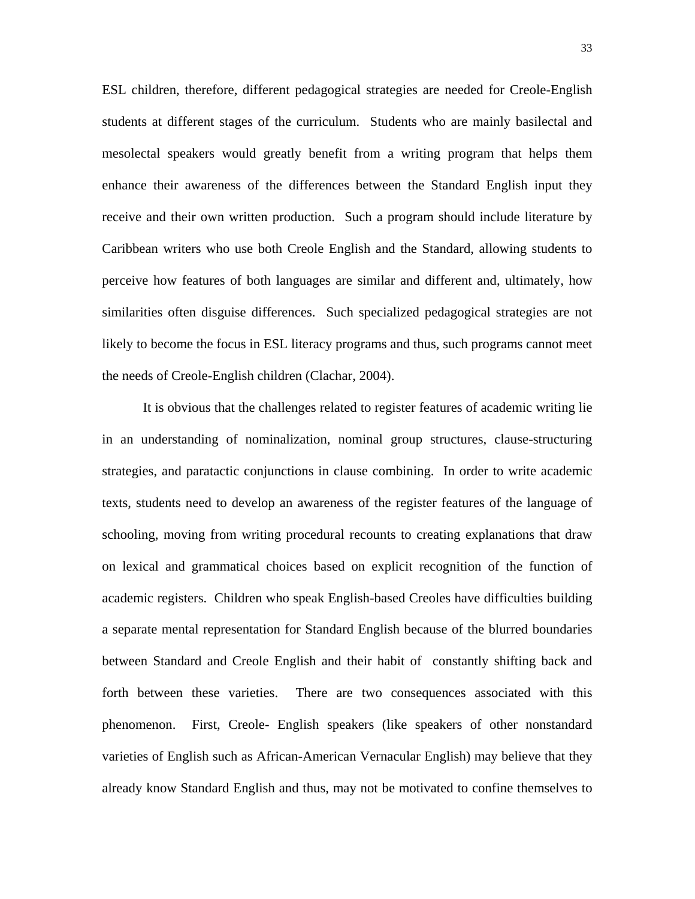ESL children, therefore, different pedagogical strategies are needed for Creole-English students at different stages of the curriculum. Students who are mainly basilectal and mesolectal speakers would greatly benefit from a writing program that helps them enhance their awareness of the differences between the Standard English input they receive and their own written production. Such a program should include literature by Caribbean writers who use both Creole English and the Standard, allowing students to perceive how features of both languages are similar and different and, ultimately, how similarities often disguise differences. Such specialized pedagogical strategies are not likely to become the focus in ESL literacy programs and thus, such programs cannot meet the needs of Creole-English children (Clachar, 2004).

It is obvious that the challenges related to register features of academic writing lie in an understanding of nominalization, nominal group structures, clause-structuring strategies, and paratactic conjunctions in clause combining. In order to write academic texts, students need to develop an awareness of the register features of the language of schooling, moving from writing procedural recounts to creating explanations that draw on lexical and grammatical choices based on explicit recognition of the function of academic registers. Children who speak English-based Creoles have difficulties building a separate mental representation for Standard English because of the blurred boundaries between Standard and Creole English and their habit of constantly shifting back and forth between these varieties. There are two consequences associated with this phenomenon. First, Creole- English speakers (like speakers of other nonstandard varieties of English such as African-American Vernacular English) may believe that they already know Standard English and thus, may not be motivated to confine themselves to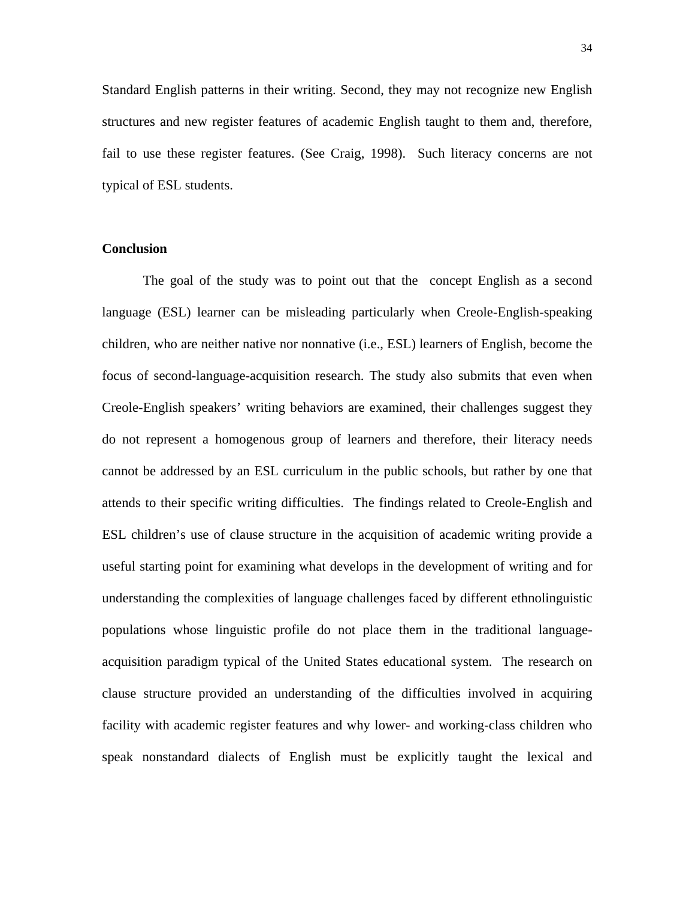Standard English patterns in their writing. Second, they may not recognize new English structures and new register features of academic English taught to them and, therefore, fail to use these register features. (See Craig, 1998). Such literacy concerns are not typical of ESL students.

## **Conclusion**

The goal of the study was to point out that the concept English as a second language (ESL) learner can be misleading particularly when Creole-English-speaking children, who are neither native nor nonnative (i.e., ESL) learners of English, become the focus of second-language-acquisition research. The study also submits that even when Creole-English speakers' writing behaviors are examined, their challenges suggest they do not represent a homogenous group of learners and therefore, their literacy needs cannot be addressed by an ESL curriculum in the public schools, but rather by one that attends to their specific writing difficulties. The findings related to Creole-English and ESL children's use of clause structure in the acquisition of academic writing provide a useful starting point for examining what develops in the development of writing and for understanding the complexities of language challenges faced by different ethnolinguistic populations whose linguistic profile do not place them in the traditional languageacquisition paradigm typical of the United States educational system. The research on clause structure provided an understanding of the difficulties involved in acquiring facility with academic register features and why lower- and working-class children who speak nonstandard dialects of English must be explicitly taught the lexical and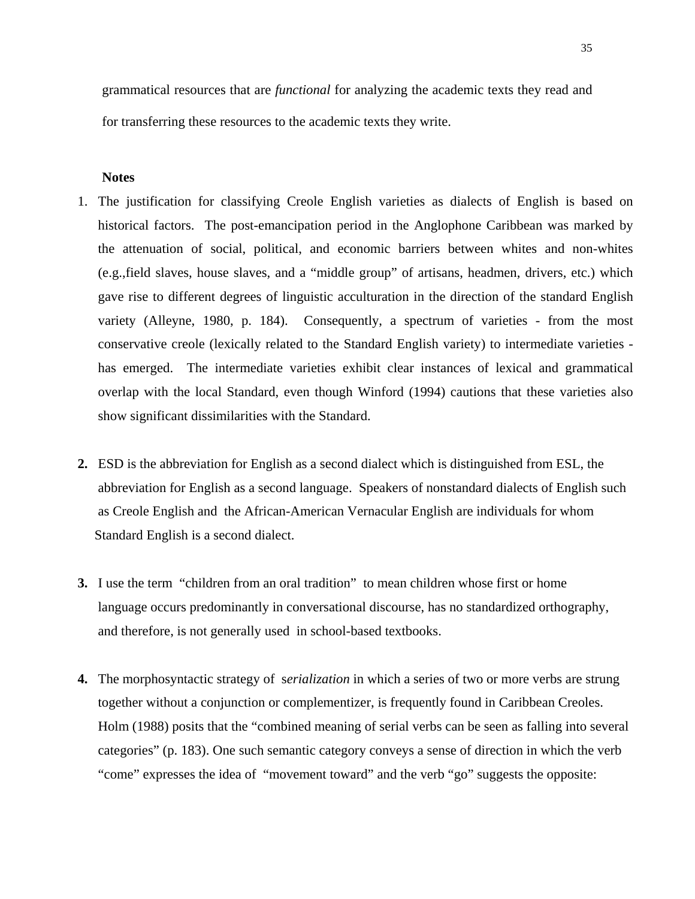grammatical resources that are *functional* for analyzing the academic texts they read and for transferring these resources to the academic texts they write.

#### **Notes**

- 1. The justification for classifying Creole English varieties as dialects of English is based on historical factors. The post-emancipation period in the Anglophone Caribbean was marked by the attenuation of social, political, and economic barriers between whites and non-whites (e.g.,field slaves, house slaves, and a "middle group" of artisans, headmen, drivers, etc.) which gave rise to different degrees of linguistic acculturation in the direction of the standard English variety (Alleyne, 1980, p. 184). Consequently, a spectrum of varieties - from the most conservative creole (lexically related to the Standard English variety) to intermediate varieties has emerged. The intermediate varieties exhibit clear instances of lexical and grammatical overlap with the local Standard, even though Winford (1994) cautions that these varieties also show significant dissimilarities with the Standard.
- **2.** ESD is the abbreviation for English as a second dialect which is distinguished from ESL, the abbreviation for English as a second language. Speakers of nonstandard dialects of English such as Creole English and the African-American Vernacular English are individuals for whom Standard English is a second dialect.
- **3.** I use the term "children from an oral tradition" to mean children whose first or home language occurs predominantly in conversational discourse, has no standardized orthography, and therefore, is not generally used in school-based textbooks.
- **4.** The morphosyntactic strategy of s*erialization* in which a series of two or more verbs are strung together without a conjunction or complementizer, is frequently found in Caribbean Creoles. Holm (1988) posits that the "combined meaning of serial verbs can be seen as falling into several categories" (p. 183). One such semantic category conveys a sense of direction in which the verb "come" expresses the idea of "movement toward" and the verb "go" suggests the opposite: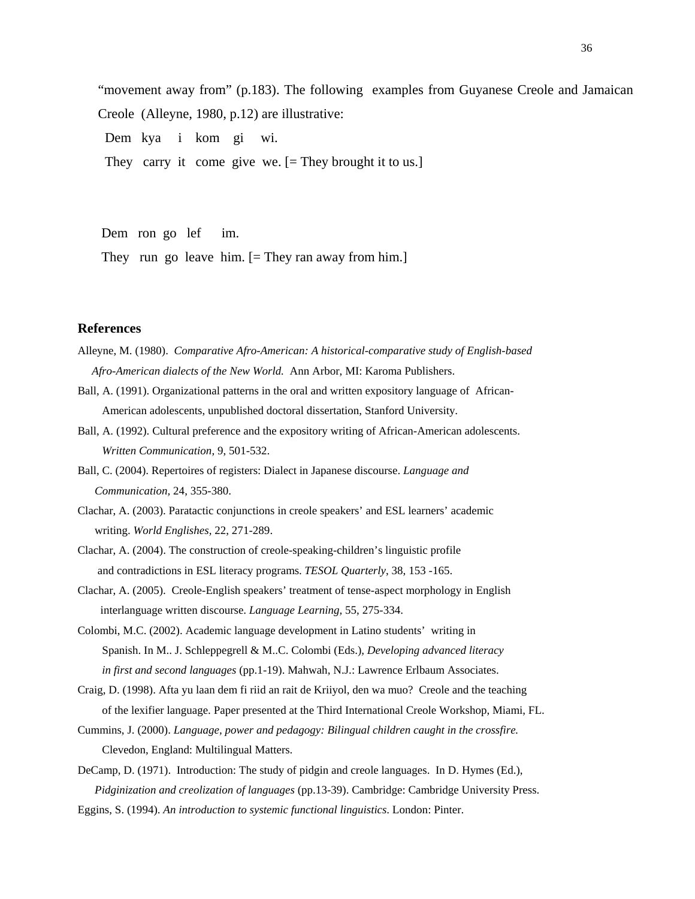"movement away from" (p.183). The following examples from Guyanese Creole and Jamaican Creole (Alleyne, 1980, p.12) are illustrative:

Dem kya i kom gi wi.

They carry it come give we. [= They brought it to us.]

 Dem ron go lef im. They run go leave him. [= They ran away from him.]

#### **References**

- Alleyne, M. (1980). *Comparative Afro-American: A historical-comparative study of English-based Afro-American dialects of the New World.* Ann Arbor, MI: Karoma Publishers.
- Ball, A. (1991). Organizational patterns in the oral and written expository language of African- American adolescents, unpublished doctoral dissertation, Stanford University.
- Ball, A. (1992). Cultural preference and the expository writing of African-American adolescents. *Written Communication*, 9, 501-532.
- Ball, C. (2004). Repertoires of registers: Dialect in Japanese discourse. *Language and Communication,* 24, 355-380.
- Clachar, A. (2003). Paratactic conjunctions in creole speakers' and ESL learners' academic writing. *World Englishes,* 22, 271-289.
- Clachar, A. (2004). The construction of creole-speaking-children's linguistic profile and contradictions in ESL literacy programs. *TESOL Quarterly*, 38, 153 -165.
- Clachar, A. (2005). Creole-English speakers' treatment of tense-aspect morphology in English interlanguage written discourse. *Language Learning,* 55, 275-334.
- Colombi, M.C. (2002). Academic language development in Latino students' writing in Spanish. In M.. J. Schleppegrell & M..C. Colombi (Eds.), *Developing advanced literacy in first and second languages* (pp.1-19). Mahwah, N.J.: Lawrence Erlbaum Associates.
- Craig, D. (1998). Afta yu laan dem fi riid an rait de Kriiyol, den wa muo? Creole and the teaching of the lexifier language. Paper presented at the Third International Creole Workshop, Miami, FL.
- Cummins, J. (2000). *Language, power and pedagogy: Bilingual children caught in the crossfire.*  Clevedon, England: Multilingual Matters.
- DeCamp, D. (1971). Introduction: The study of pidgin and creole languages. In D. Hymes (Ed.), *Pidginization and creolization of languages* (pp.13-39). Cambridge: Cambridge University Press.

Eggins, S. (1994). *An introduction to systemic functional linguistics*. London: Pinter.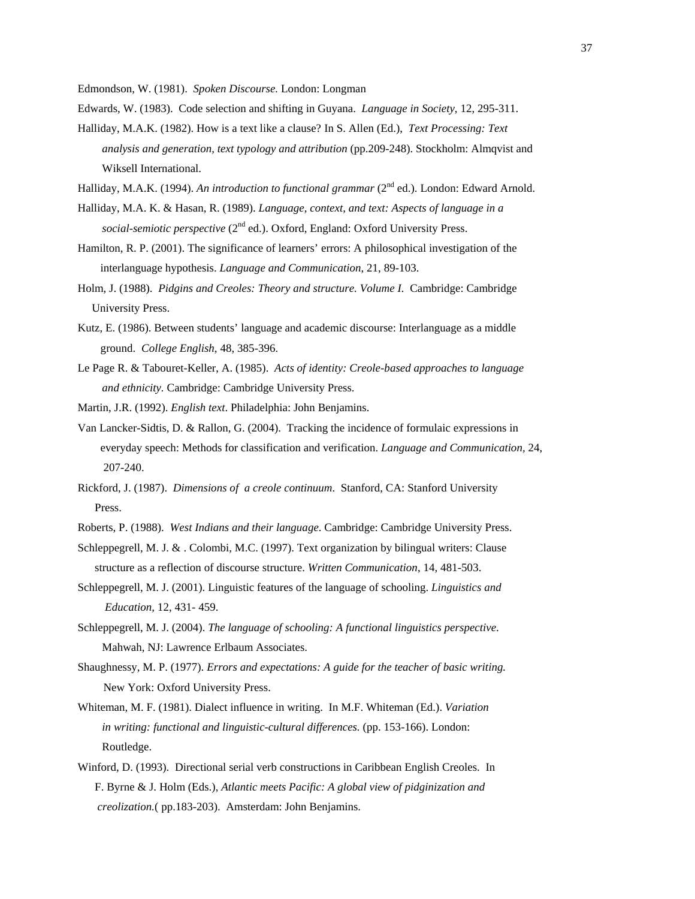Edmondson, W. (1981). *Spoken Discourse.* London: Longman

- Edwards, W. (1983). Code selection and shifting in Guyana. *Language in Society*, 12, 295-311.
- Halliday, M.A.K. (1982). How is a text like a clause? In S. Allen (Ed.), *Text Processing: Text analysis and generation, text typology and attribution* (pp.209-248). Stockholm: Almqvist and Wiksell International.
- Halliday, M.A.K. (1994). *An introduction to functional grammar* (2<sup>nd</sup> ed.). London: Edward Arnold.
- Halliday, M.A. K. & Hasan, R. (1989). *Language, context, and text: Aspects of language in a social-semiotic perspective* (2<sup>nd</sup> ed.). Oxford, England: Oxford University Press.
- Hamilton, R. P. (2001). The significance of learners' errors: A philosophical investigation of the interlanguage hypothesis. *Language and Communication*, 21, 89-103.
- Holm, J. (1988). *Pidgins and Creoles: Theory and structure. Volume I.* Cambridge: Cambridge University Press.
- Kutz, E. (1986). Between students' language and academic discourse: Interlanguage as a middle ground. *College English*, 48, 385-396.
- Le Page R. & Tabouret-Keller, A. (1985). *Acts of identity: Creole-based approaches to language and ethnicity.* Cambridge: Cambridge University Press.
- Martin, J.R. (1992). *English text*. Philadelphia: John Benjamins.
- Van Lancker-Sidtis, D. & Rallon, G. (2004). Tracking the incidence of formulaic expressions in everyday speech: Methods for classification and verification. *Language and Communication,* 24, 207-240.
- Rickford, J. (1987). *Dimensions of a creole continuum*. Stanford, CA: Stanford University Press.
- Roberts, P. (1988). *West Indians and their language*. Cambridge: Cambridge University Press.
- Schleppegrell, M. J. & . Colombi, M.C. (1997). Text organization by bilingual writers: Clause structure as a reflection of discourse structure. *Written Communication*, 14, 481-503.
- Schleppegrell, M. J. (2001). Linguistic features of the language of schooling. *Linguistics and Education,* 12, 431- 459.
- Schleppegrell, M. J. (2004). *The language of schooling: A functional linguistics perspective*. Mahwah, NJ: Lawrence Erlbaum Associates.
- Shaughnessy, M. P. (1977). *Errors and expectations: A guide for the teacher of basic writing.* New York: Oxford University Press.
- Whiteman, M. F. (1981). Dialect influence in writing. In M.F. Whiteman (Ed.). *Variation in writing: functional and linguistic-cultural differences.* (pp. 153-166). London: Routledge.
- Winford, D. (1993). Directional serial verb constructions in Caribbean English Creoles. In F. Byrne & J. Holm (Eds.), *Atlantic meets Pacific: A global view of pidginization and creolization.*( pp.183-203). Amsterdam: John Benjamins.